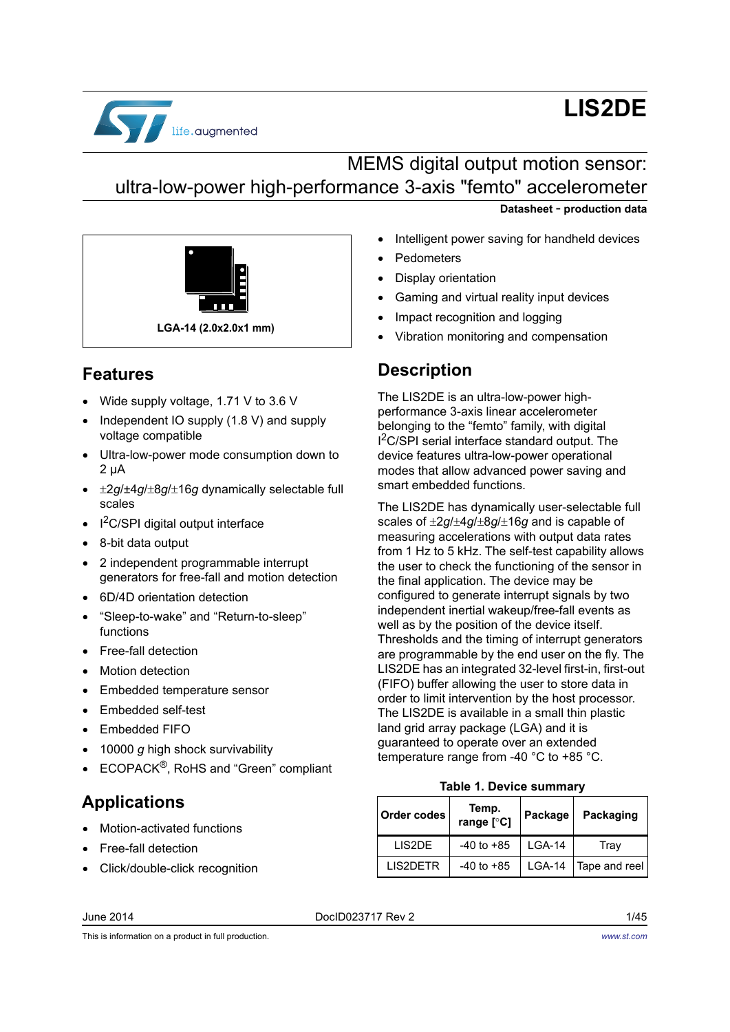

# **LIS2DE**

# MEMS digital output motion sensor: ultra-low-power high-performance 3-axis "femto" accelerometer



### **Features**

- Wide supply voltage, 1.71 V to 3.6 V
- Independent IO supply (1.8 V) and supply voltage compatible
- Ultra-low-power mode consumption down to 2 μA
- $\cdot$   $\pm 2g/\pm 4g/\pm 8g/\pm 16g$  dynamically selectable full scales
- $I^2C/SPI$  digital output interface
- 8-bit data output
- 2 independent programmable interrupt generators for free-fall and motion detection
- 6D/4D orientation detection
- "Sleep-to-wake" and "Return-to-sleep" functions
- Free-fall detection
- Motion detection
- Embedded temperature sensor
- Embedded self-test
- Embedded FIFO
- 10000 *g* high shock survivability
- ECOPACK®, RoHS and "Green" compliant

### **Applications**

- Motion-activated functions
- Free-fall detection
- Click/double-click recognition
- **Datasheet** - **production data**
- Intelligent power saving for handheld devices
- Pedometers
- Display orientation
- Gaming and virtual reality input devices
- Impact recognition and logging
- Vibration monitoring and compensation

### **Description**

The LIS2DE is an ultra-low-power highperformance 3-axis linear accelerometer belonging to the "femto" family, with digital I<sup>2</sup>C/SPI serial interface standard output. The device features ultra-low-power operational modes that allow advanced power saving and smart embedded functions.

The LIS2DE has dynamically user-selectable full scales of  $\pm 2g/\pm 4g/\pm 8g/\pm 16g$  and is capable of measuring accelerations with output data rates from 1 Hz to 5 kHz. The self-test capability allows the user to check the functioning of the sensor in the final application. The device may be configured to generate interrupt signals by two independent inertial wakeup/free-fall events as well as by the position of the device itself. Thresholds and the timing of interrupt generators are programmable by the end user on the fly. The LIS2DE has an integrated 32-level first-in, first-out (FIFO) buffer allowing the user to store data in order to limit intervention by the host processor. The LIS2DE is available in a small thin plastic land grid array package (LGA) and it is guaranteed to operate over an extended temperature range from -40 °C to +85 °C.

#### **Table 1. Device summary**

<span id="page-0-0"></span>

| Order codes      | Temp.<br>range [°C] | Package  | Packaging     |
|------------------|---------------------|----------|---------------|
| <b>LIS2DE</b>    | $-40$ to $+85$      | $LGA-14$ | Tray          |
| <b>I IS2DETR</b> | $-40$ to $+85$      | $LGA-14$ | Tape and reel |

#### June 2014 DocID023717 Rev 2 1/45

This is information on a product in full production.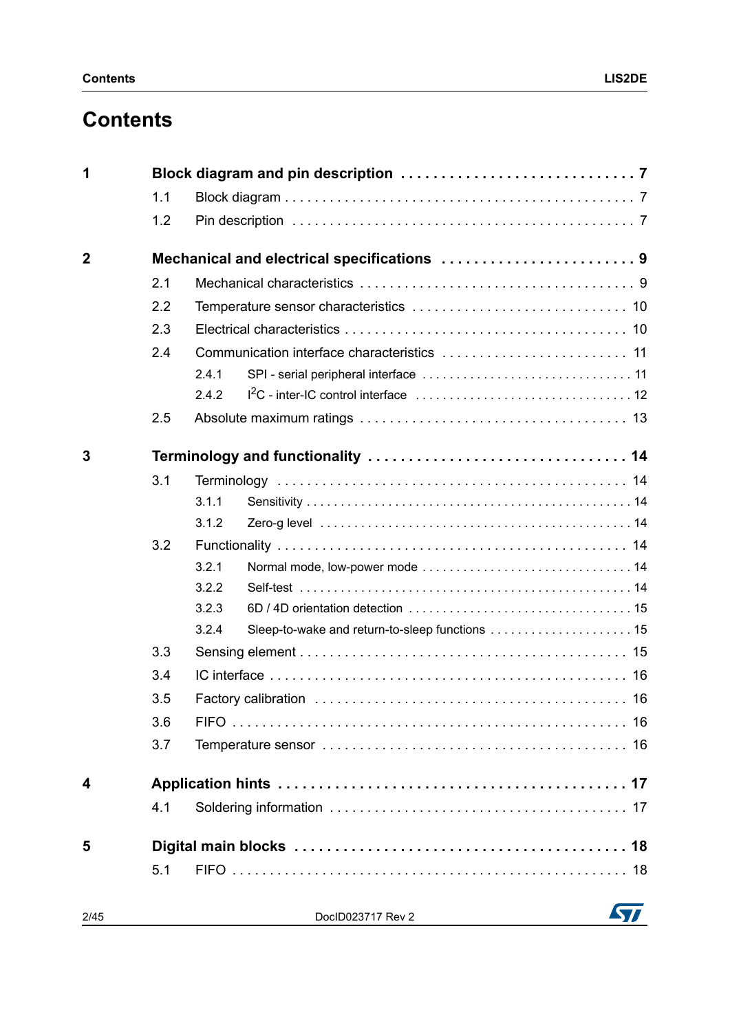| 1              |     |                                            |  |
|----------------|-----|--------------------------------------------|--|
|                | 1.1 |                                            |  |
|                | 1.2 |                                            |  |
| $\overline{2}$ |     | Mechanical and electrical specifications 9 |  |
|                | 2.1 |                                            |  |
|                | 2.2 |                                            |  |
|                | 2.3 |                                            |  |
|                | 2.4 |                                            |  |
|                |     | 2.4.1                                      |  |
|                |     | 2.4.2                                      |  |
|                | 2.5 |                                            |  |
| 3              |     |                                            |  |
|                | 3.1 |                                            |  |
|                |     | 3.1.1                                      |  |
|                |     | 3.1.2                                      |  |
|                | 3.2 |                                            |  |
|                |     | 3.2.1                                      |  |
|                |     | 3.2.2                                      |  |
|                |     | 3.2.3                                      |  |
|                |     | 3.2.4                                      |  |
|                | 3.3 |                                            |  |
|                | 3.4 |                                            |  |
|                | 3.5 |                                            |  |
|                | 3.6 |                                            |  |
|                | 3.7 |                                            |  |
| 4              |     |                                            |  |
|                | 4.1 |                                            |  |
| 5              |     |                                            |  |
|                | 5.1 |                                            |  |
| 2/45           |     | DocID023717 Rev 2                          |  |

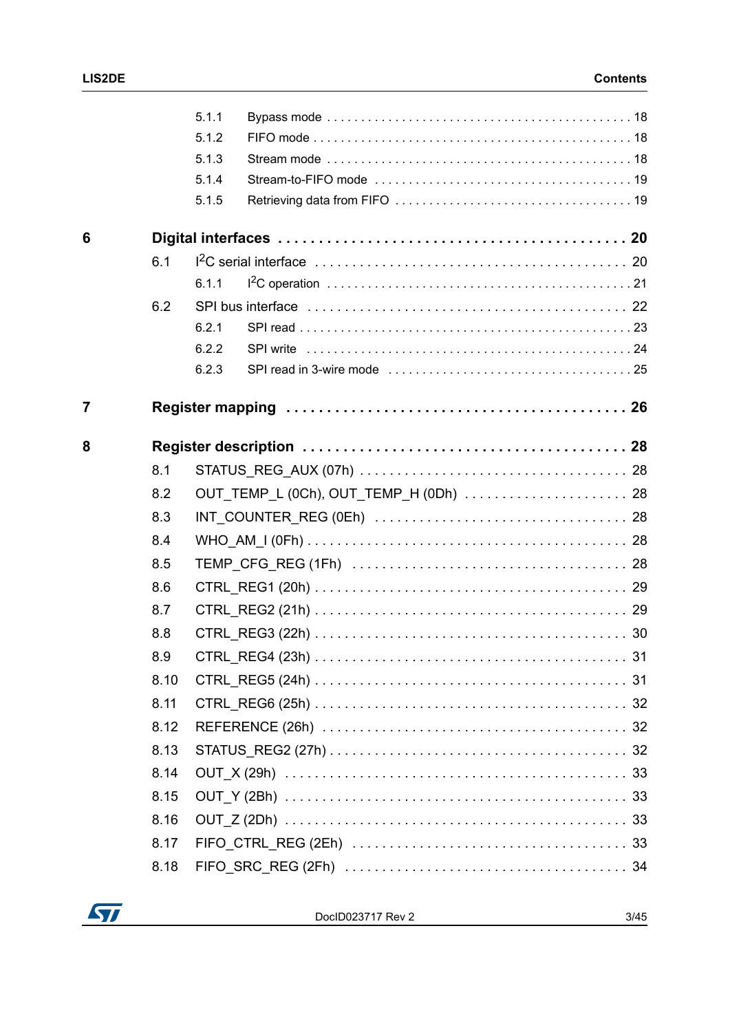|   |      | 5.1.1 |                                        |  |
|---|------|-------|----------------------------------------|--|
|   |      | 5.1.2 |                                        |  |
|   |      | 5.1.3 |                                        |  |
|   |      | 5.1.4 |                                        |  |
|   |      | 5.1.5 |                                        |  |
| 6 |      |       |                                        |  |
|   | 6.1  |       |                                        |  |
|   |      | 6.1.1 |                                        |  |
|   | 6.2  |       |                                        |  |
|   |      | 6.2.1 |                                        |  |
|   |      | 6.2.2 |                                        |  |
|   |      | 6.2.3 |                                        |  |
| 7 |      |       |                                        |  |
| 8 |      |       |                                        |  |
|   | 8.1  |       |                                        |  |
|   | 8.2  |       | OUT_TEMP_L (0Ch), OUT_TEMP_H (0Dh)  28 |  |
|   | 8.3  |       |                                        |  |
|   | 8.4  |       |                                        |  |
|   | 8.5  |       |                                        |  |
|   | 8.6  |       |                                        |  |
|   | 8.7  |       |                                        |  |
|   | 8.8  |       |                                        |  |
|   | 8.9  |       |                                        |  |
|   | 8.10 |       |                                        |  |
|   | 8.11 |       |                                        |  |
|   | 8.12 |       |                                        |  |
|   | 8.13 |       |                                        |  |
|   | 8.14 |       |                                        |  |
|   | 8.15 |       |                                        |  |
|   | 8.16 |       |                                        |  |
|   | 8.17 |       |                                        |  |
|   | 8.18 |       |                                        |  |
|   |      |       |                                        |  |

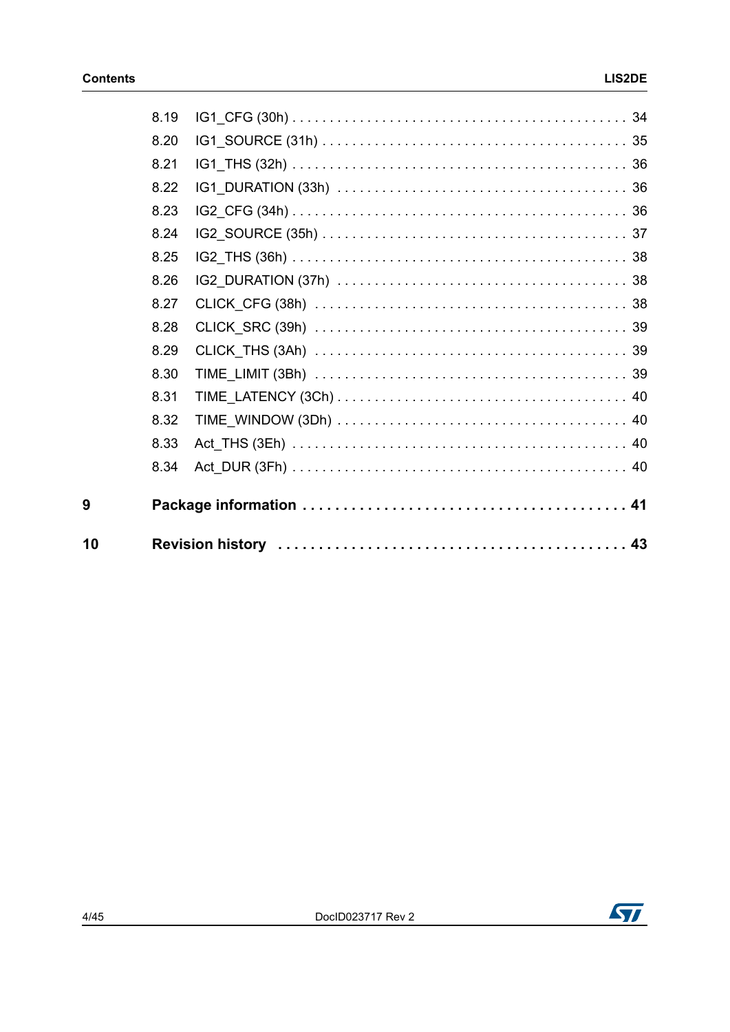| 8.19 |  |
|------|--|
| 8.20 |  |
| 8.21 |  |
| 8.22 |  |
| 8.23 |  |
| 8.24 |  |
| 8.25 |  |
| 8.26 |  |
| 8.27 |  |
| 8.28 |  |
| 8.29 |  |
| 8.30 |  |
| 8.31 |  |
| 8.32 |  |
| 8.33 |  |
| 8.34 |  |
|      |  |
|      |  |



 $\overline{9}$ 

10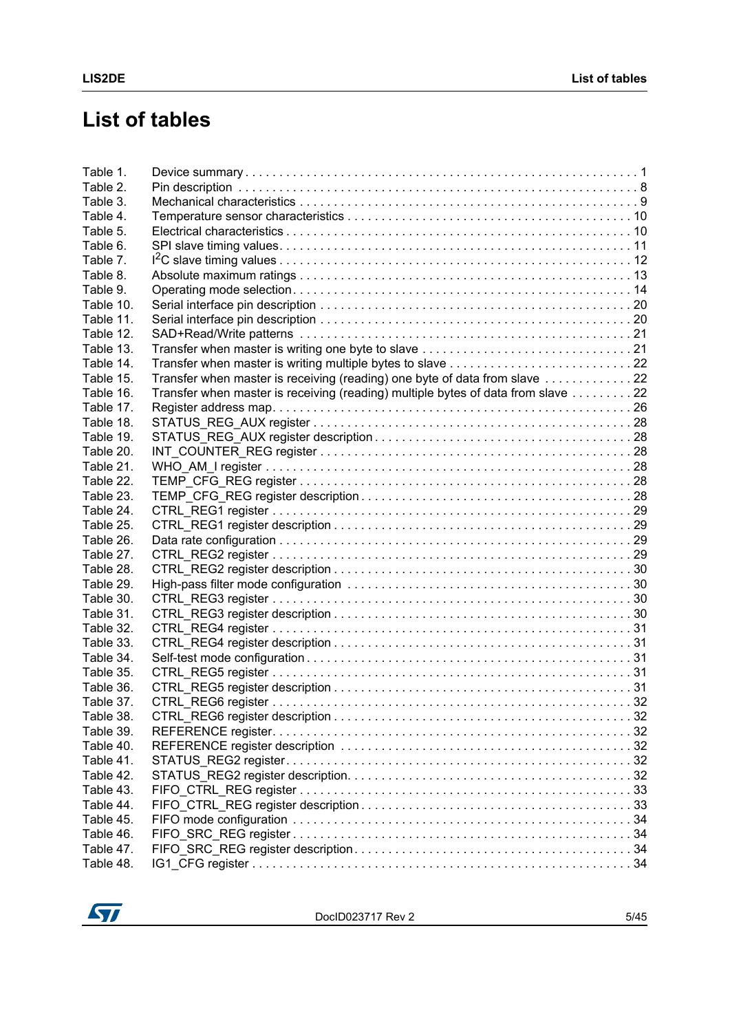# **List of tables**

| Table 1.  |                                                                                  |  |
|-----------|----------------------------------------------------------------------------------|--|
| Table 2.  |                                                                                  |  |
| Table 3.  |                                                                                  |  |
| Table 4.  |                                                                                  |  |
| Table 5.  |                                                                                  |  |
| Table 6.  |                                                                                  |  |
| Table 7.  |                                                                                  |  |
| Table 8.  |                                                                                  |  |
| Table 9.  |                                                                                  |  |
| Table 10. |                                                                                  |  |
| Table 11. |                                                                                  |  |
| Table 12. |                                                                                  |  |
| Table 13. |                                                                                  |  |
| Table 14. |                                                                                  |  |
| Table 15. | Transfer when master is receiving (reading) one byte of data from slave 22       |  |
| Table 16. | Transfer when master is receiving (reading) multiple bytes of data from slave 22 |  |
| Table 17. |                                                                                  |  |
| Table 18. |                                                                                  |  |
| Table 19. |                                                                                  |  |
| Table 20. |                                                                                  |  |
| Table 21. |                                                                                  |  |
| Table 22. |                                                                                  |  |
| Table 23. |                                                                                  |  |
| Table 24. |                                                                                  |  |
| Table 25. |                                                                                  |  |
| Table 26. |                                                                                  |  |
| Table 27. |                                                                                  |  |
| Table 28. |                                                                                  |  |
| Table 29. |                                                                                  |  |
| Table 30. |                                                                                  |  |
| Table 31. |                                                                                  |  |
| Table 32. |                                                                                  |  |
| Table 33. |                                                                                  |  |
| Table 34. |                                                                                  |  |
| Table 35. |                                                                                  |  |
| Table 36. |                                                                                  |  |
| Table 37. |                                                                                  |  |
| Table 38. |                                                                                  |  |
| Table 39. |                                                                                  |  |
| Table 40. |                                                                                  |  |
| Table 41. |                                                                                  |  |
| Table 42. |                                                                                  |  |
| Table 43. |                                                                                  |  |
| Table 44. |                                                                                  |  |
| Table 45. |                                                                                  |  |
| Table 46. |                                                                                  |  |
| Table 47. |                                                                                  |  |
| Table 48. |                                                                                  |  |
|           |                                                                                  |  |

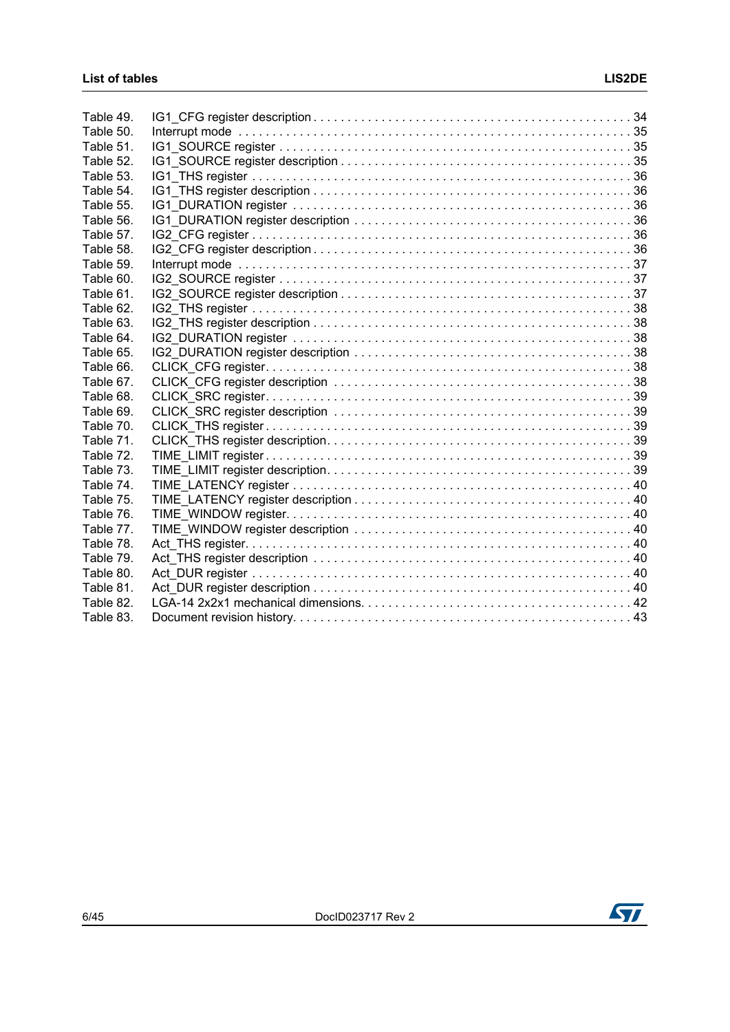| Table 49. |  |
|-----------|--|
| Table 50. |  |
| Table 51. |  |
| Table 52. |  |
| Table 53. |  |
| Table 54. |  |
| Table 55. |  |
| Table 56. |  |
| Table 57. |  |
| Table 58. |  |
| Table 59. |  |
| Table 60. |  |
| Table 61. |  |
| Table 62. |  |
| Table 63. |  |
| Table 64. |  |
| Table 65. |  |
| Table 66. |  |
| Table 67. |  |
| Table 68. |  |
| Table 69. |  |
| Table 70. |  |
| Table 71. |  |
| Table 72. |  |
| Table 73. |  |
| Table 74. |  |
| Table 75. |  |
| Table 76. |  |
| Table 77. |  |
| Table 78. |  |
| Table 79. |  |
| Table 80. |  |
| Table 81. |  |
| Table 82. |  |
| Table 83. |  |

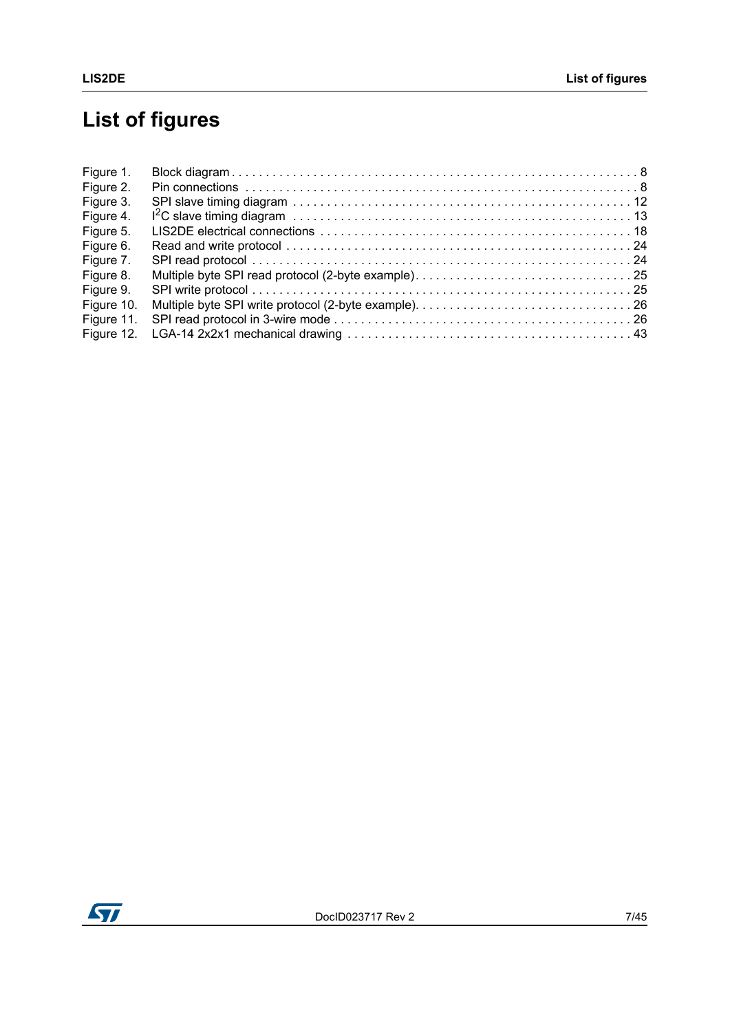# **List of figures**

| Figure 1.  |  |
|------------|--|
| Figure 2.  |  |
| Figure 3.  |  |
| Figure 4.  |  |
| Figure 5.  |  |
| Figure 6.  |  |
| Figure 7.  |  |
| Figure 8.  |  |
| Figure 9.  |  |
| Figure 10. |  |
| Figure 11. |  |
| Figure 12. |  |

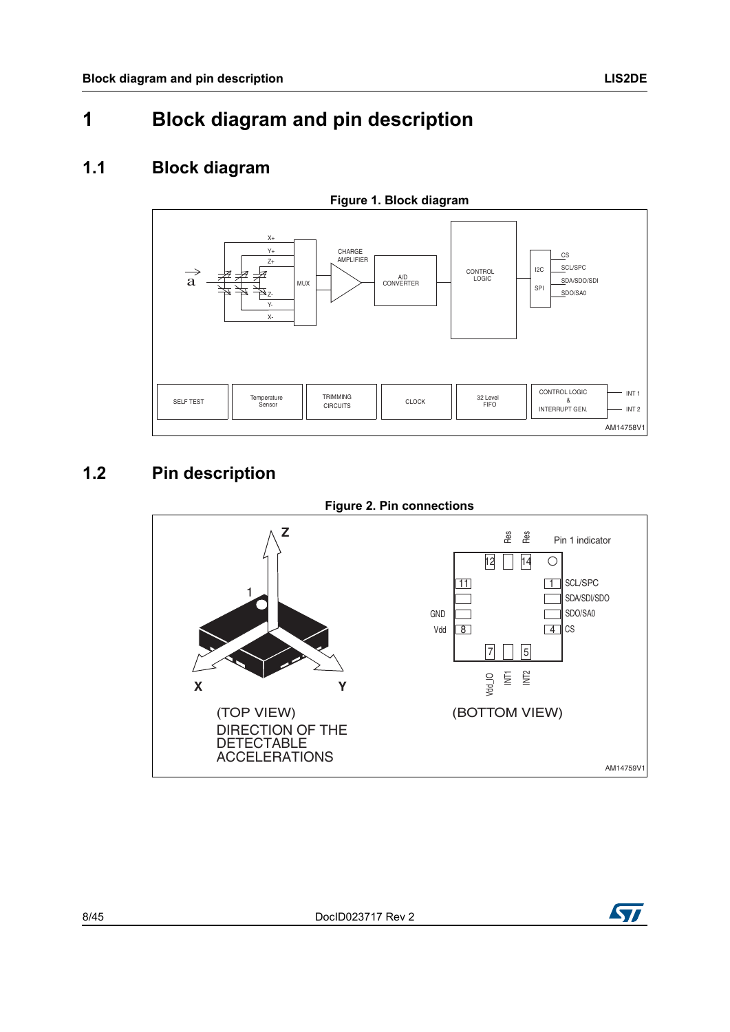### <span id="page-7-1"></span><span id="page-7-0"></span>**1.1 Block diagram**

<span id="page-7-3"></span>

## <span id="page-7-2"></span>**1.2 Pin description**

<span id="page-7-4"></span>



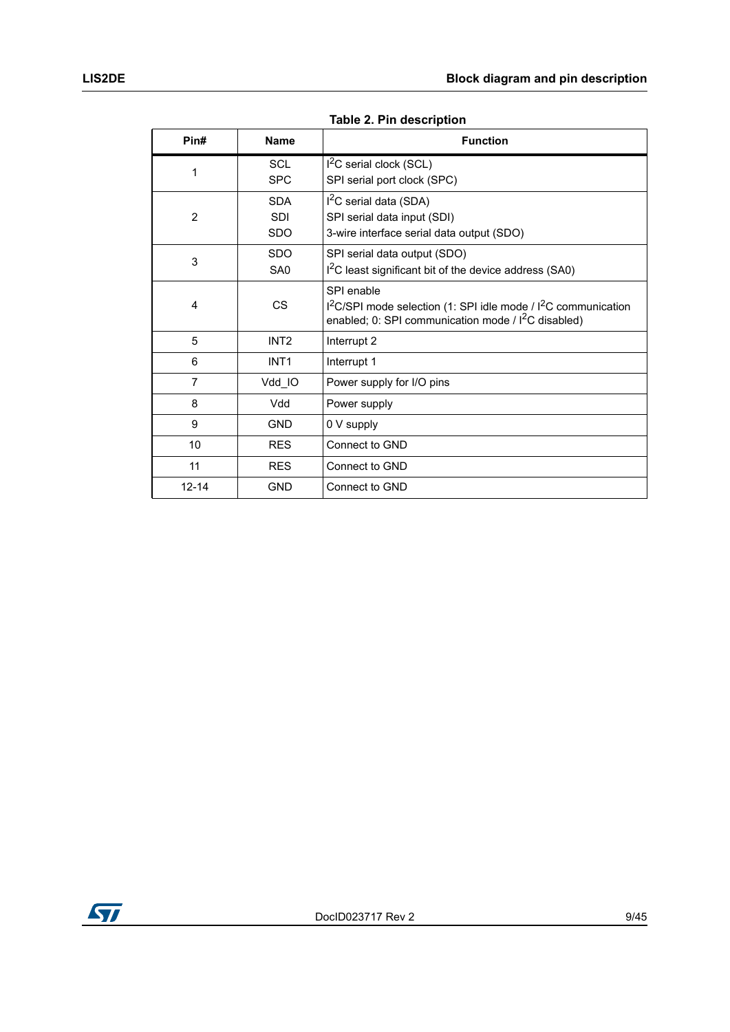<span id="page-8-0"></span>

| Pin#           | <b>Name</b>      | <b>Function</b>                                                                                                                         |
|----------------|------------------|-----------------------------------------------------------------------------------------------------------------------------------------|
|                | <b>SCL</b>       | $12C$ serial clock (SCL)                                                                                                                |
| 1              | <b>SPC</b>       | SPI serial port clock (SPC)                                                                                                             |
|                | <b>SDA</b>       | $I2C$ serial data (SDA)                                                                                                                 |
| $\overline{2}$ | <b>SDI</b>       | SPI serial data input (SDI)                                                                                                             |
|                | <b>SDO</b>       | 3-wire interface serial data output (SDO)                                                                                               |
|                | <b>SDO</b>       | SPI serial data output (SDO)                                                                                                            |
| 3              | SA <sub>0</sub>  | I <sup>2</sup> C least significant bit of the device address (SA0)                                                                      |
|                |                  | SPI enable                                                                                                                              |
| 4              | <b>CS</b>        | $1^2$ C/SPI mode selection (1: SPI idle mode / $1^2$ C communication<br>enabled; 0: SPI communication mode / I <sup>2</sup> C disabled) |
| 5              | INT <sub>2</sub> | Interrupt 2                                                                                                                             |
| 6              | INT <sub>1</sub> | Interrupt 1                                                                                                                             |
| 7              | Vdd_IO           | Power supply for I/O pins                                                                                                               |
| 8              | Vdd              | Power supply                                                                                                                            |
| 9              | <b>GND</b>       | 0 V supply                                                                                                                              |
| 10             | <b>RES</b>       | Connect to GND                                                                                                                          |
| 11             | <b>RES</b>       | Connect to GND                                                                                                                          |
| $12 - 14$      | <b>GND</b>       | Connect to GND                                                                                                                          |

**Table 2. Pin description** 

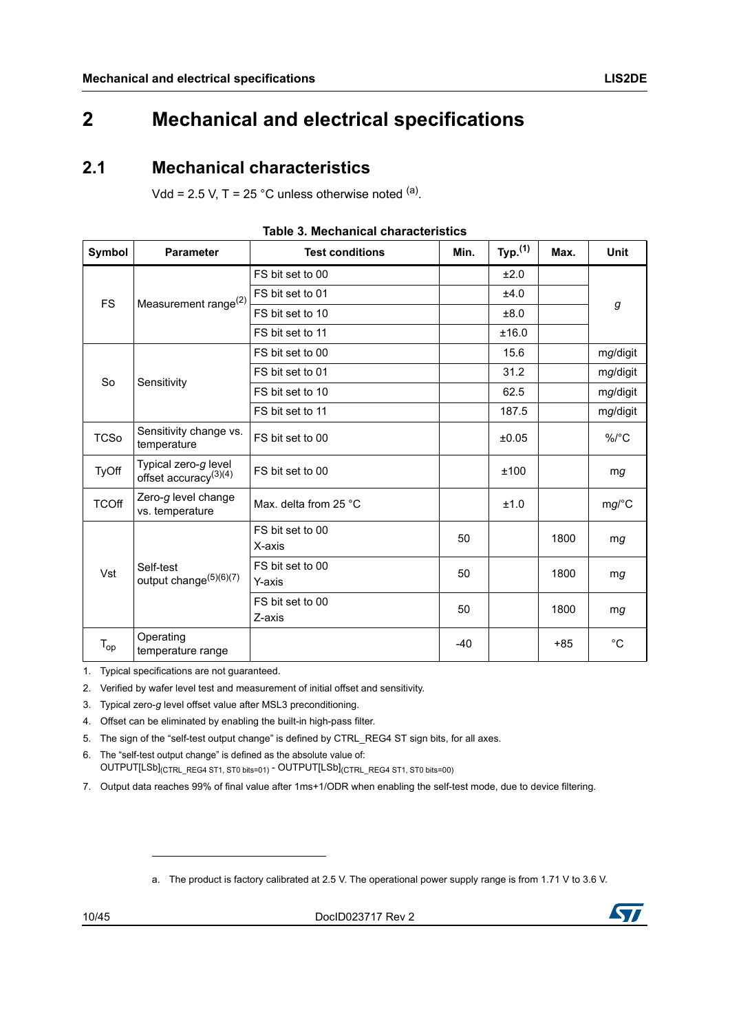## <span id="page-9-0"></span>**2 Mechanical and electrical specifications**

### <span id="page-9-1"></span>**2.1 Mechanical characteristics**

Vdd = 2.5 V, T = 25 °C unless otherwise noted  $(a)$ .

<span id="page-9-2"></span>

| Symbol       | <b>Parameter</b>                                 | <b>Test conditions</b>     | Min.  | Typ. $(1)$ | Max.  | <b>Unit</b>  |  |
|--------------|--------------------------------------------------|----------------------------|-------|------------|-------|--------------|--|
| <b>FS</b>    | Measurement range <sup>(2)</sup>                 | FS bit set to 00           |       | ±2.0       |       | g            |  |
|              |                                                  | FS bit set to 01           |       | ±4.0       |       |              |  |
|              |                                                  | FS bit set to 10           |       | ±8.0       |       |              |  |
|              |                                                  | FS bit set to 11           |       | ±16.0      |       |              |  |
|              |                                                  | FS bit set to 00           |       | 15.6       |       | mg/digit     |  |
| <b>So</b>    | Sensitivity                                      | FS bit set to 01           |       | 31.2       |       | mg/digit     |  |
|              |                                                  | FS bit set to 10           |       | 62.5       |       | mg/digit     |  |
|              |                                                  | FS bit set to 11           |       | 187.5      |       | mg/digit     |  |
| <b>TCSo</b>  | Sensitivity change vs.<br>temperature            | FS bit set to 00           |       | ±0.05      |       | $\%$ /°C     |  |
| <b>TyOff</b> | Typical zero-g level<br>offset accuracy $(3)(4)$ | FS bit set to 00           |       | ±100       |       | mg           |  |
| <b>TCOff</b> | Zero-g level change<br>vs. temperature           | Max. delta from 25 °C      |       | ±1.0       |       | mg/C         |  |
|              | Self-test<br>output change <sup>(5)(6)(7)</sup>  | FS bit set to 00<br>X-axis | 50    |            | 1800  | mg           |  |
| Vst          |                                                  | FS bit set to 00<br>Y-axis | 50    |            | 1800  | mg           |  |
|              |                                                  | FS bit set to 00<br>Z-axis | 50    |            | 1800  | mg           |  |
| $T_{op}$     | Operating<br>temperature range                   |                            | $-40$ |            | $+85$ | $^{\circ}$ C |  |

| Table 3. Mechanical characteristics |  |
|-------------------------------------|--|
|-------------------------------------|--|

1. Typical specifications are not guaranteed.

2. Verified by wafer level test and measurement of initial offset and sensitivity.

3. Typical zero-*g* level offset value after MSL3 preconditioning.

4. Offset can be eliminated by enabling the built-in high-pass filter.

5. The sign of the "self-test output change" is defined by CTRL\_REG4 ST sign bits, for all axes.

6. The "self-test output change" is defined as the absolute value of: OUTPUT[LSb](CTRL\_REG4 ST1, ST0 bits=01) - OUTPUT[LSb](CTRL\_REG4 ST1, ST0 bits=00)

7. Output data reaches 99% of final value after 1ms+1/ODR when enabling the self-test mode, due to device filtering.

a. The product is factory calibrated at 2.5 V. The operational power supply range is from 1.71 V to 3.6 V.

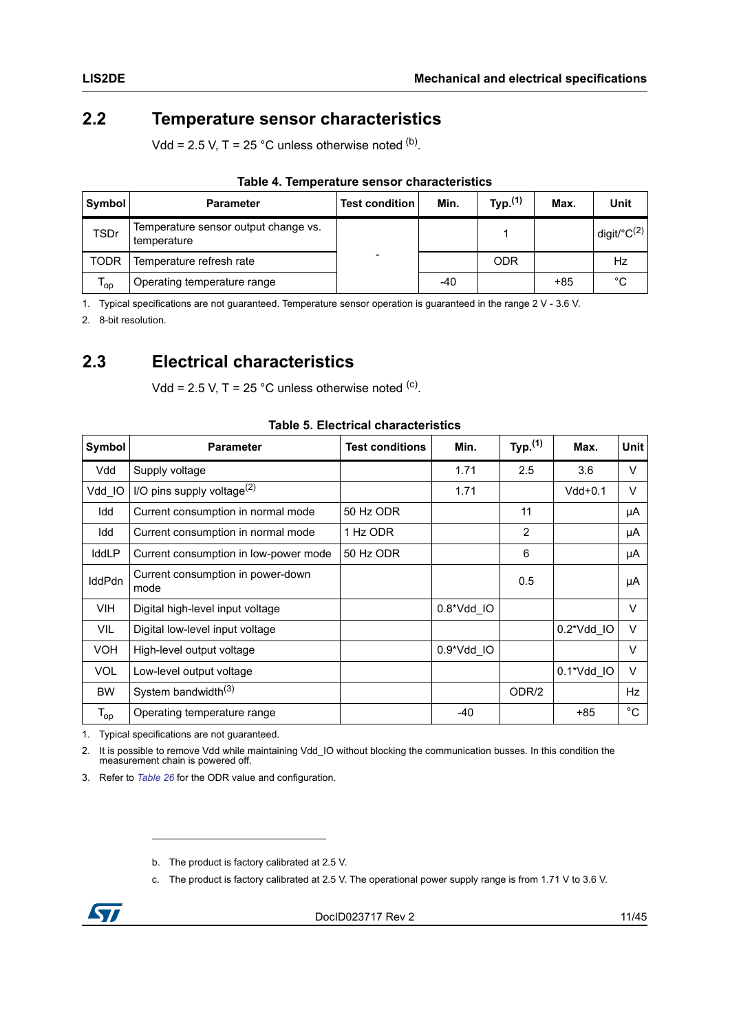### <span id="page-10-0"></span>**2.2 Temperature sensor characteristics**

Vdd = 2.5 V, T = 25 °C unless otherwise noted  $(b)$ .

<span id="page-10-2"></span>

| Symbol      | <b>Parameter</b>                                    | <b>Test condition</b> | Min. | Typ. <sup>(1)</sup> | Max. | Unit                    |  |  |
|-------------|-----------------------------------------------------|-----------------------|------|---------------------|------|-------------------------|--|--|
| <b>TSDr</b> | Temperature sensor output change vs.<br>temperature |                       |      |                     |      | digit/°C <sup>(2)</sup> |  |  |
| <b>TODR</b> | Temperature refresh rate                            | -                     |      | <b>ODR</b>          |      | Hz                      |  |  |
| 'op         | Operating temperature range                         |                       | -40  |                     | +85  | °C                      |  |  |

#### **Table 4. Temperature sensor characteristics**

1. Typical specifications are not guaranteed. Temperature sensor operation is guaranteed in the range 2 V - 3.6 V.

2. 8-bit resolution.

### <span id="page-10-1"></span>**2.3 Electrical characteristics**

Vdd = 2.5 V, T = 25 °C unless otherwise noted  $(c)$ .

<span id="page-10-3"></span>

| Symbol                     | <b>Parameter</b>                          | <b>Test conditions</b> | Min.                | Typ. $(1)$     | Max.       | Unit         |
|----------------------------|-------------------------------------------|------------------------|---------------------|----------------|------------|--------------|
| Vdd                        | Supply voltage                            |                        | 1.71                | 2.5            | 3.6        | V            |
| Vdd IO                     | I/O pins supply voltage $^{(2)}$          |                        | 1.71                |                | $Vdd+0.1$  | $\vee$       |
| Idd                        | Current consumption in normal mode        | 50 Hz ODR              |                     | 11             |            | μA           |
| Idd                        | Current consumption in normal mode        | 1 Hz ODR               |                     | $\overline{2}$ |            | μA           |
| IddLP                      | Current consumption in low-power mode     | 50 Hz ODR              |                     | 6              |            | μA           |
| <b>IddPdn</b>              | Current consumption in power-down<br>mode |                        |                     | 0.5            |            | μA           |
| <b>VIH</b>                 | Digital high-level input voltage          |                        | $0.8^{\ast}$ Vdd IO |                |            | $\vee$       |
| <b>VIL</b>                 | Digital low-level input voltage           |                        |                     |                | 0.2*Vdd IO | $\vee$       |
| <b>VOH</b>                 | High-level output voltage                 |                        | 0.9*Vdd IO          |                |            | $\vee$       |
| <b>VOL</b>                 | Low-level output voltage                  |                        |                     |                | 0.1*Vdd IO | $\vee$       |
| <b>BW</b>                  | System bandwidth <sup>(3)</sup>           |                        |                     | ODR/2          |            | Hz           |
| $\mathsf{T}_{\mathsf{op}}$ | Operating temperature range               |                        | $-40$               |                | $+85$      | $^{\circ}$ C |

#### **Table 5. Electrical characteristics**

1. Typical specifications are not guaranteed.

2. It is possible to remove Vdd while maintaining Vdd\_IO without blocking the communication busses. In this condition the measurement chain is powered off.

3. Refer to *[Table 26](#page-29-4)* for the ODR value and configuration.

c. The product is factory calibrated at 2.5 V. The operational power supply range is from 1.71 V to 3.6 V.



b. The product is factory calibrated at 2.5 V.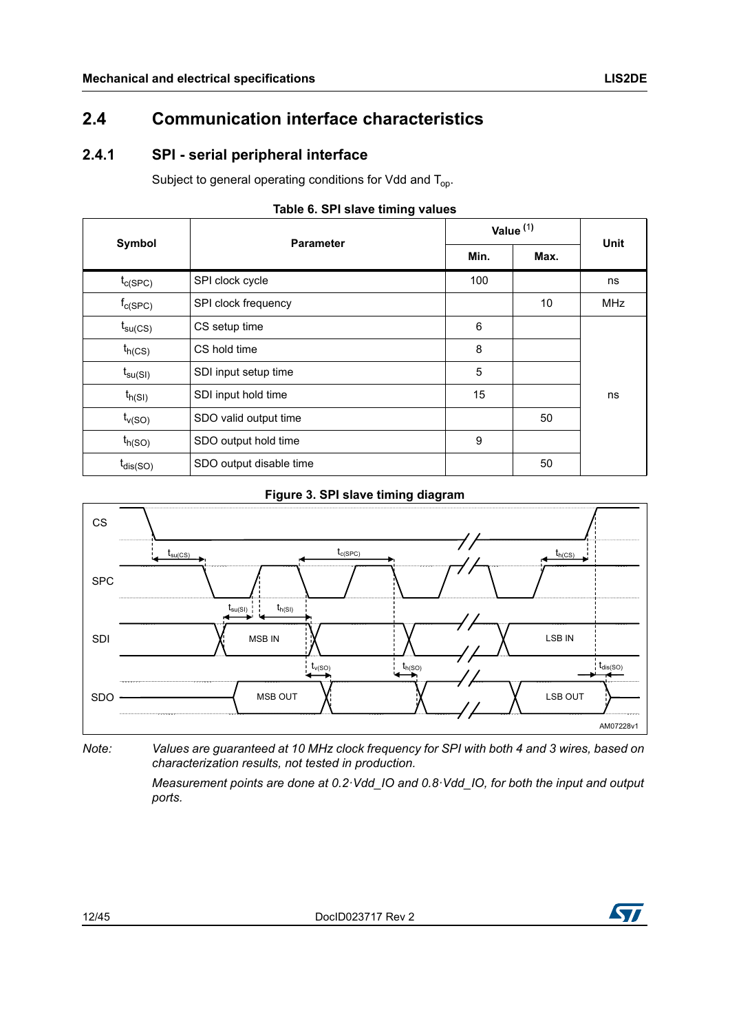### <span id="page-11-0"></span>**2.4 Communication interface characteristics**

### <span id="page-11-1"></span>**2.4.1 SPI - serial peripheral interface**

Subject to general operating conditions for Vdd and  $T_{op}$ .

<span id="page-11-2"></span>

|                            | <b>Parameter</b>        | Value $(1)$ | <b>Unit</b> |            |
|----------------------------|-------------------------|-------------|-------------|------------|
| Symbol                     |                         | Min.        | Max.        |            |
| $t_{C(SPC)}$               | SPI clock cycle         | 100         |             | ns         |
| $f_{c(SPC)}$               | SPI clock frequency     |             | 10          | <b>MHz</b> |
| $t_{\text{su}(\text{CS})}$ | CS setup time           | 6           |             |            |
| $t_{h(CS)}$                | CS hold time            | 8           |             |            |
| $t_{\mathsf{su(SI)}}$      | SDI input setup time    | 5           |             |            |
| $t_{h(SI)}$                | SDI input hold time     | 15          |             | ns         |
| $t_{v(SO)}$                | SDO valid output time   |             | 50          |            |
| $t_{h(SO)}$                | SDO output hold time    | 9           |             |            |
| t <sub>dis(SO)</sub>       | SDO output disable time |             | 50          |            |

### **Table 6. SPI slave timing values**

#### **Figure 3. SPI slave timing diagram**

<span id="page-11-3"></span>

*Note: Values are guaranteed at 10 MHz clock frequency for SPI with both 4 and 3 wires, based on characterization results, not tested in production.*

> *Measurement points are done at 0.2·Vdd\_IO and 0.8·Vdd\_IO, for both the input and output ports.*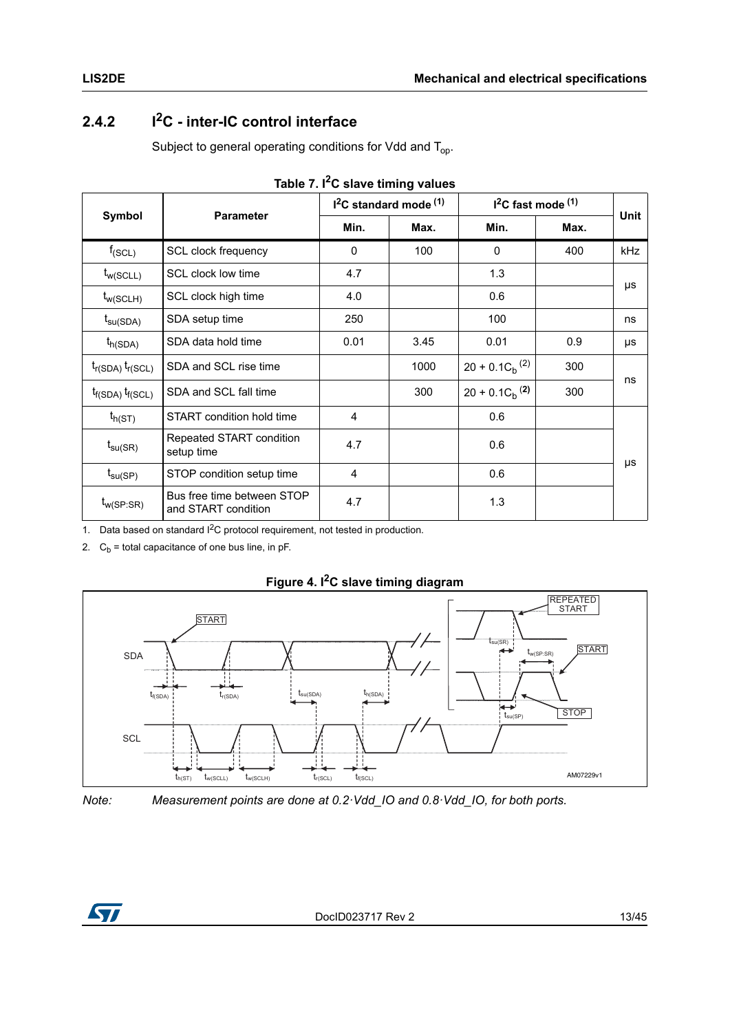### <span id="page-12-0"></span>**2.4.2 I2C - inter-IC control interface**

Subject to general operating conditions for Vdd and  $T_{op}$ .

<span id="page-12-1"></span>

| Symbol                  | <b>Parameter</b>                                  |              | $I2C$ standard mode $(1)$ | $12C$ fast mode $(1)$ | <b>Unit</b> |     |  |
|-------------------------|---------------------------------------------------|--------------|---------------------------|-----------------------|-------------|-----|--|
|                         |                                                   | Min.<br>Max. |                           | Min.                  | Max.        |     |  |
| $f_{(SCL)}$             | SCL clock frequency                               | 0            | 100                       | $\mathbf{0}$          | 400         | kHz |  |
| $t_{w(SCLL)}$           | SCL clock low time                                | 4.7          |                           | 1.3                   |             |     |  |
| $t_{w(SCLH)}$           | SCL clock high time                               | 4.0          |                           | 0.6                   |             | μs  |  |
| $t_{\text{su(SDA)}}$    | SDA setup time                                    | 250          |                           | 100                   |             | ns  |  |
| $t_{h(SDA)}$            | SDA data hold time                                | 0.01         | 3.45                      | 0.01                  | 0.9         | μs  |  |
| $t_{r(SDA)} t_{r(SCL)}$ | SDA and SCL rise time                             |              | 1000                      | $20 + 0.1 C_h^{(2)}$  | 300         | ns  |  |
| $t_{f(SDA)} t_{f(SCL)}$ | SDA and SCL fall time                             |              | 300                       | $20 + 0.1 C_h^{(2)}$  | 300         |     |  |
| $t_{h(ST)}$             | START condition hold time                         | 4            |                           | 0.6                   |             |     |  |
| $t_{\text{su(SR)}}$     | Repeated START condition<br>setup time            | 4.7          |                           | 0.6                   |             |     |  |
| $t_{\text{su(SP)}}$     | STOP condition setup time                         | 4            |                           | 0.6                   |             | μs  |  |
| $t_{w(SP:SR)}$          | Bus free time between STOP<br>and START condition | 4.7          |                           | 1.3                   |             |     |  |

|  |  |  |  | Table 7. I <sup>2</sup> C slave timing values |
|--|--|--|--|-----------------------------------------------|
|--|--|--|--|-----------------------------------------------|

1. Data based on standard I<sup>2</sup>C protocol requirement, not tested in production.

2.  $C_b$  = total capacitance of one bus line, in pF.

<span id="page-12-2"></span>

**Figure 4. I2C slave timing diagram**

*Note: Measurement points are done at 0.2·Vdd\_IO and 0.8·Vdd\_IO, for both ports.*

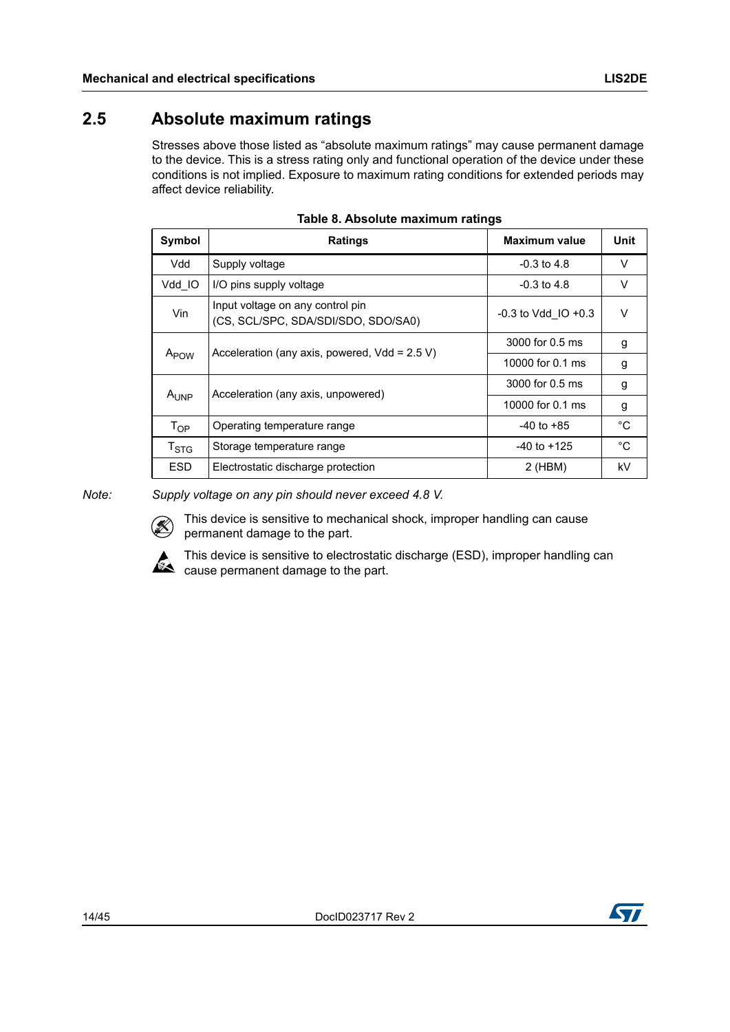### <span id="page-13-0"></span>**2.5 Absolute maximum ratings**

Stresses above those listed as "absolute maximum ratings" may cause permanent damage to the device. This is a stress rating only and functional operation of the device under these conditions is not implied. Exposure to maximum rating conditions for extended periods may affect device reliability.

<span id="page-13-1"></span>

| Symbol                    | <b>Ratings</b>                                                          | <b>Maximum value</b>    | Unit   |
|---------------------------|-------------------------------------------------------------------------|-------------------------|--------|
| Vdd                       | Supply voltage                                                          | $-0.3$ to 4.8           | $\vee$ |
| Vdd IO                    | I/O pins supply voltage                                                 | $-0.3$ to 4.8           | V      |
| Vin                       | Input voltage on any control pin<br>(CS, SCL/SPC, SDA/SDI/SDO, SDO/SA0) | $-0.3$ to Vdd IO $+0.3$ | $\vee$ |
|                           | Acceleration (any axis, powered, $Vdd = 2.5 V$ )                        | 3000 for 0.5 ms         | g      |
| A <sub>POW</sub>          |                                                                         | 10000 for 0.1 ms        | g      |
|                           | Acceleration (any axis, unpowered)                                      | 3000 for 0.5 ms         | g      |
| $A_{I JNP}$               |                                                                         | 10000 for 0.1 ms        | g      |
| $T_{OP}$                  | Operating temperature range                                             | $-40$ to $+85$          | °C     |
| $\mathsf{T}_{\text{STG}}$ | Storage temperature range                                               | $-40$ to $+125$         | °C     |
| ESD.                      | Electrostatic discharge protection                                      | $2$ (HBM)               | kV     |

**Table 8. Absolute maximum ratings**

*Note: Supply voltage on any pin should never exceed 4.8 V.*



This device is sensitive to mechanical shock, improper handling can cause permanent damage to the part.



This device is sensitive to electrostatic discharge (ESD), improper handling can cause permanent damage to the part.

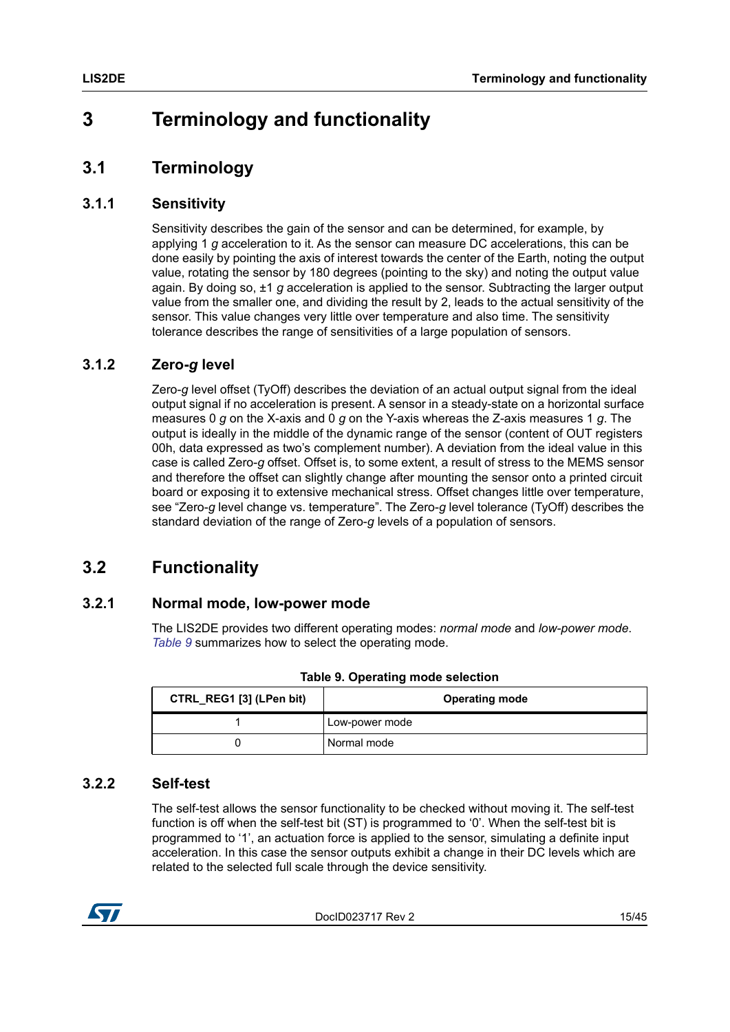## <span id="page-14-0"></span>**3 Terminology and functionality**

## <span id="page-14-1"></span>**3.1 Terminology**

### <span id="page-14-2"></span>**3.1.1 Sensitivity**

Sensitivity describes the gain of the sensor and can be determined, for example, by applying 1 *g* acceleration to it. As the sensor can measure DC accelerations, this can be done easily by pointing the axis of interest towards the center of the Earth, noting the output value, rotating the sensor by 180 degrees (pointing to the sky) and noting the output value again. By doing so, ±1 *g* acceleration is applied to the sensor. Subtracting the larger output value from the smaller one, and dividing the result by 2, leads to the actual sensitivity of the sensor. This value changes very little over temperature and also time. The sensitivity tolerance describes the range of sensitivities of a large population of sensors.

### <span id="page-14-3"></span>**3.1.2 Zero-***g* **level**

Zero-*g* level offset (TyOff) describes the deviation of an actual output signal from the ideal output signal if no acceleration is present. A sensor in a steady-state on a horizontal surface measures 0 *g* on the X-axis and 0 *g* on the Y-axis whereas the Z-axis measures 1 *g*. The output is ideally in the middle of the dynamic range of the sensor (content of OUT registers 00h, data expressed as two's complement number). A deviation from the ideal value in this case is called Zero-*g* offset. Offset is, to some extent, a result of stress to the MEMS sensor and therefore the offset can slightly change after mounting the sensor onto a printed circuit board or exposing it to extensive mechanical stress. Offset changes little over temperature, see "Zero-*g* level change vs. temperature". The Zero-*g* level tolerance (TyOff) describes the standard deviation of the range of Zero-*g* levels of a population of sensors.

### <span id="page-14-4"></span>**3.2 Functionality**

### <span id="page-14-5"></span>**3.2.1 Normal mode, low-power mode**

The LIS2DE provides two different operating modes: *normal mode* and *low-power mode*. *[Table 9](#page-14-7)* summarizes how to select the operating mode.

<span id="page-14-7"></span>

| CTRL_REG1 [3] (LPen bit) | <b>Operating mode</b> |
|--------------------------|-----------------------|
|                          | Low-power mode        |
|                          | Normal mode           |

**Table 9. Operating mode selection**

### <span id="page-14-6"></span>**3.2.2 Self-test**

The self-test allows the sensor functionality to be checked without moving it. The self-test function is off when the self-test bit (ST) is programmed to '0'. When the self-test bit is programmed to '1', an actuation force is applied to the sensor, simulating a definite input acceleration. In this case the sensor outputs exhibit a change in their DC levels which are related to the selected full scale through the device sensitivity.

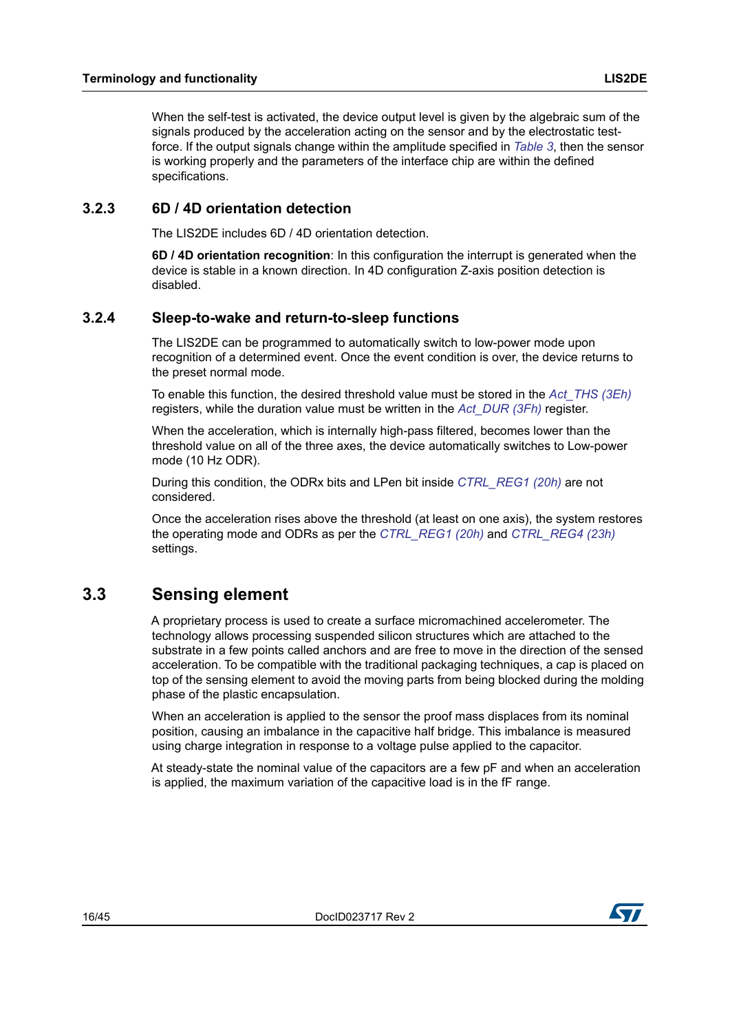When the self-test is activated, the device output level is given by the algebraic sum of the signals produced by the acceleration acting on the sensor and by the electrostatic testforce. If the output signals change within the amplitude specified in *[Table 3](#page-9-2)*, then the sensor is working properly and the parameters of the interface chip are within the defined specifications.

### <span id="page-15-0"></span>**3.2.3 6D / 4D orientation detection**

The LIS2DE includes 6D / 4D orientation detection.

**6D / 4D orientation recognition**: In this configuration the interrupt is generated when the device is stable in a known direction. In 4D configuration Z-axis position detection is disabled.

#### <span id="page-15-1"></span>**3.2.4 Sleep-to-wake and return-to-sleep functions**

The LIS2DE can be programmed to automatically switch to low-power mode upon recognition of a determined event. Once the event condition is over, the device returns to the preset normal mode.

To enable this function, the desired threshold value must be stored in the *[Act\\_THS \(3Eh\)](#page-40-2)* registers, while the duration value must be written in the *[Act\\_DUR \(3Fh\)](#page-40-3)* register.

When the acceleration, which is internally high-pass filtered, becomes lower than the threshold value on all of the three axes, the device automatically switches to Low-power mode (10 Hz ODR).

During this condition, the ODRx bits and LPen bit inside *[CTRL\\_REG1 \(20h\)](#page-29-0)* are not considered.

Once the acceleration rises above the threshold (at least on one axis), the system restores the operating mode and ODRs as per the *[CTRL\\_REG1 \(20h\)](#page-29-0)* and *[CTRL\\_REG4 \(23h\)](#page-31-0)* settings.

### <span id="page-15-2"></span>**3.3 Sensing element**

A proprietary process is used to create a surface micromachined accelerometer. The technology allows processing suspended silicon structures which are attached to the substrate in a few points called anchors and are free to move in the direction of the sensed acceleration. To be compatible with the traditional packaging techniques, a cap is placed on top of the sensing element to avoid the moving parts from being blocked during the molding phase of the plastic encapsulation.

When an acceleration is applied to the sensor the proof mass displaces from its nominal position, causing an imbalance in the capacitive half bridge. This imbalance is measured using charge integration in response to a voltage pulse applied to the capacitor.

At steady-state the nominal value of the capacitors are a few pF and when an acceleration is applied, the maximum variation of the capacitive load is in the fF range.

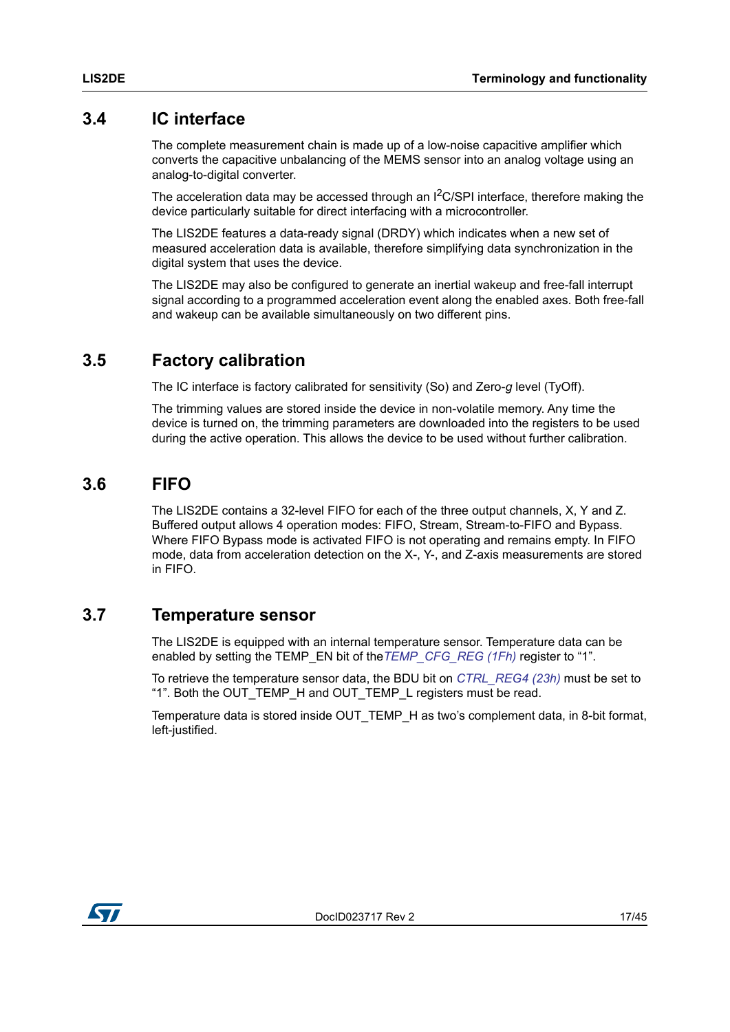### <span id="page-16-0"></span>**3.4 IC interface**

The complete measurement chain is made up of a low-noise capacitive amplifier which converts the capacitive unbalancing of the MEMS sensor into an analog voltage using an analog-to-digital converter.

The acceleration data may be accessed through an  $l^2C/SPl$  interface, therefore making the device particularly suitable for direct interfacing with a microcontroller.

The LIS2DE features a data-ready signal (DRDY) which indicates when a new set of measured acceleration data is available, therefore simplifying data synchronization in the digital system that uses the device.

The LIS2DE may also be configured to generate an inertial wakeup and free-fall interrupt signal according to a programmed acceleration event along the enabled axes. Both free-fall and wakeup can be available simultaneously on two different pins.

### <span id="page-16-1"></span>**3.5 Factory calibration**

The IC interface is factory calibrated for sensitivity (So) and Zero-*g* level (TyOff).

The trimming values are stored inside the device in non-volatile memory. Any time the device is turned on, the trimming parameters are downloaded into the registers to be used during the active operation. This allows the device to be used without further calibration.

### <span id="page-16-2"></span>**3.6 FIFO**

The LIS2DE contains a 32-level FIFO for each of the three output channels, X, Y and Z. Buffered output allows 4 operation modes: FIFO, Stream, Stream-to-FIFO and Bypass. Where FIFO Bypass mode is activated FIFO is not operating and remains empty. In FIFO mode, data from acceleration detection on the X-, Y-, and Z-axis measurements are stored in FIFO.

### <span id="page-16-3"></span>**3.7 Temperature sensor**

The LIS2DE is equipped with an internal temperature sensor. Temperature data can be enabled by setting the TEMP\_EN bit of the*[TEMP\\_CFG\\_REG \(1Fh\)](#page-28-5)* register to "1".

To retrieve the temperature sensor data, the BDU bit on *[CTRL\\_REG4 \(23h\)](#page-31-0)* must be set to "1". Both the OUT\_TEMP\_H and OUT\_TEMP\_L registers must be read.

Temperature data is stored inside OUT\_TEMP\_H as two's complement data, in 8-bit format, left-justified.

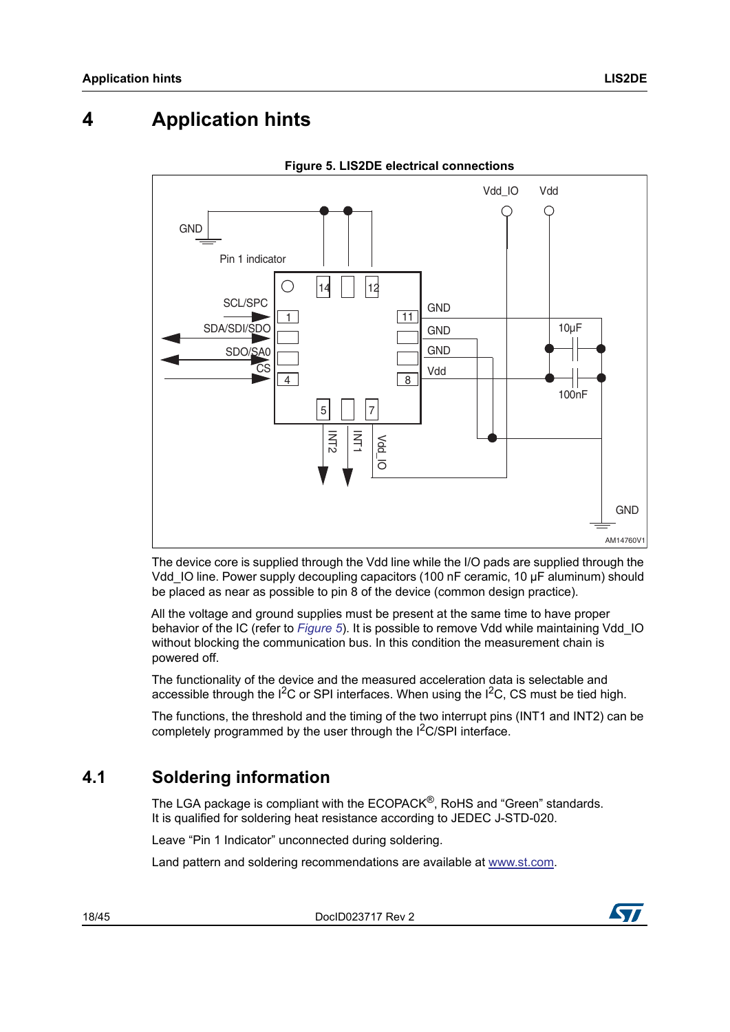## <span id="page-17-0"></span>**4 Application hints**

<span id="page-17-2"></span>

**Figure 5. LIS2DE electrical connections**

The device core is supplied through the Vdd line while the I/O pads are supplied through the Vdd\_IO line. Power supply decoupling capacitors (100 nF ceramic, 10 μF aluminum) should be placed as near as possible to pin 8 of the device (common design practice).

All the voltage and ground supplies must be present at the same time to have proper behavior of the IC (refer to *[Figure 5](#page-17-2)*). It is possible to remove Vdd while maintaining Vdd\_IO without blocking the communication bus. In this condition the measurement chain is powered off.

The functionality of the device and the measured acceleration data is selectable and accessible through the  $I^2C$  or SPI interfaces. When using the  $I^2C$ , CS must be tied high.

The functions, the threshold and the timing of the two interrupt pins (INT1 and INT2) can be completely programmed by the user through the I<sup>2</sup>C/SPI interface.

### <span id="page-17-1"></span>**4.1 Soldering information**

The LGA package is compliant with the ECOPACK<sup>®</sup>, RoHS and "Green" standards. It is qualified for soldering heat resistance according to JEDEC J-STD-020.

Leave "Pin 1 Indicator" unconnected during soldering.

Land pattern and soldering recommendations are available at www.st.com.

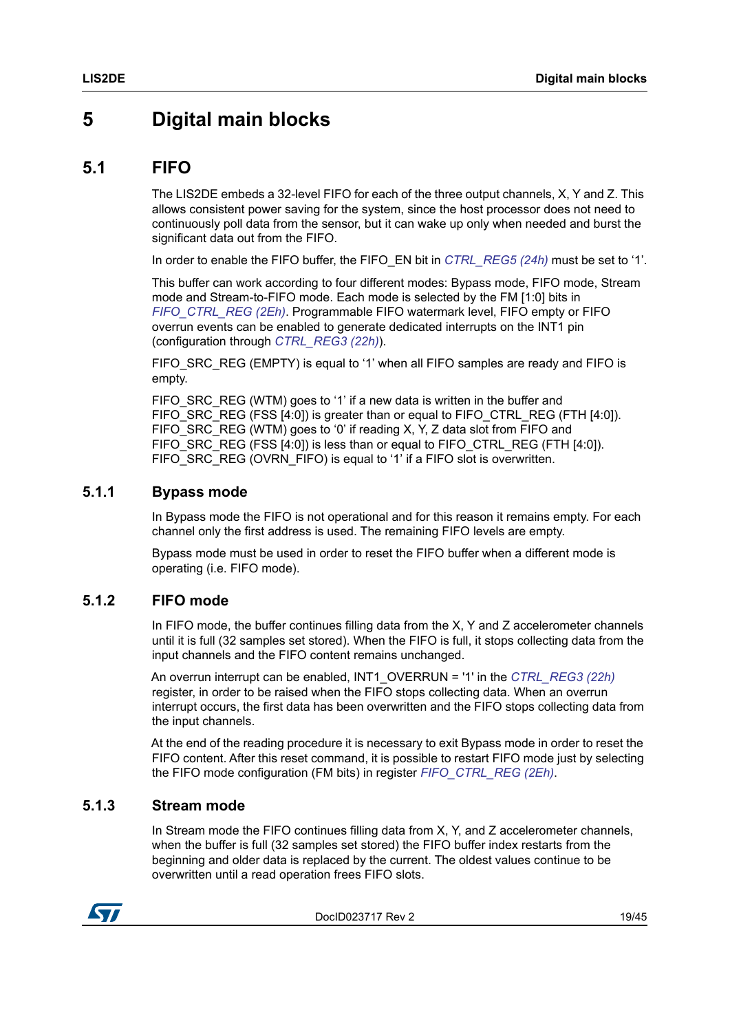## <span id="page-18-0"></span>**5 Digital main blocks**

### <span id="page-18-1"></span>**5.1 FIFO**

The LIS2DE embeds a 32-level FIFO for each of the three output channels, X, Y and Z. This allows consistent power saving for the system, since the host processor does not need to continuously poll data from the sensor, but it can wake up only when needed and burst the significant data out from the FIFO.

In order to enable the FIFO buffer, the FIFO\_EN bit in *[CTRL\\_REG5 \(24h\)](#page-31-1)* must be set to '1'.

This buffer can work according to four different modes: Bypass mode, FIFO mode, Stream mode and Stream-to-FIFO mode. Each mode is selected by the FM [1:0] bits in *[FIFO\\_CTRL\\_REG \(2Eh\)](#page-33-3)*. Programmable FIFO watermark level, FIFO empty or FIFO overrun events can be enabled to generate dedicated interrupts on the INT1 pin (configuration through *[CTRL\\_REG3 \(22h\)](#page-30-0)*).

FIFO\_SRC\_REG (EMPTY) is equal to '1' when all FIFO samples are ready and FIFO is empty.

FIFO\_SRC\_REG (WTM) goes to '1' if a new data is written in the buffer and FIFO SRC REG (FSS [4:0]) is greater than or equal to FIFO CTRL REG (FTH [4:0]). FIFO SRC REG (WTM) goes to '0' if reading X, Y, Z data slot from FIFO and FIFO\_SRC\_REG (FSS [4:0]) is less than or equal to FIFO\_CTRL\_REG (FTH [4:0]). FIFO\_SRC\_REG (OVRN\_FIFO) is equal to '1' if a FIFO slot is overwritten.

#### <span id="page-18-2"></span>**5.1.1 Bypass mode**

In Bypass mode the FIFO is not operational and for this reason it remains empty. For each channel only the first address is used. The remaining FIFO levels are empty.

Bypass mode must be used in order to reset the FIFO buffer when a different mode is operating (i.e. FIFO mode).

### <span id="page-18-3"></span>**5.1.2 FIFO mode**

In FIFO mode, the buffer continues filling data from the X, Y and Z accelerometer channels until it is full (32 samples set stored). When the FIFO is full, it stops collecting data from the input channels and the FIFO content remains unchanged.

An overrun interrupt can be enabled, INT1\_OVERRUN = '1' in the *[CTRL\\_REG3 \(22h\)](#page-30-0)* register, in order to be raised when the FIFO stops collecting data. When an overrun interrupt occurs, the first data has been overwritten and the FIFO stops collecting data from the input channels.

At the end of the reading procedure it is necessary to exit Bypass mode in order to reset the FIFO content. After this reset command, it is possible to restart FIFO mode just by selecting the FIFO mode configuration (FM bits) in register *[FIFO\\_CTRL\\_REG \(2Eh\)](#page-33-3)*.

### <span id="page-18-4"></span>**5.1.3 Stream mode**

In Stream mode the FIFO continues filling data from X, Y, and Z accelerometer channels, when the buffer is full (32 samples set stored) the FIFO buffer index restarts from the beginning and older data is replaced by the current. The oldest values continue to be overwritten until a read operation frees FIFO slots.



DocID023717 Rev 2 19/45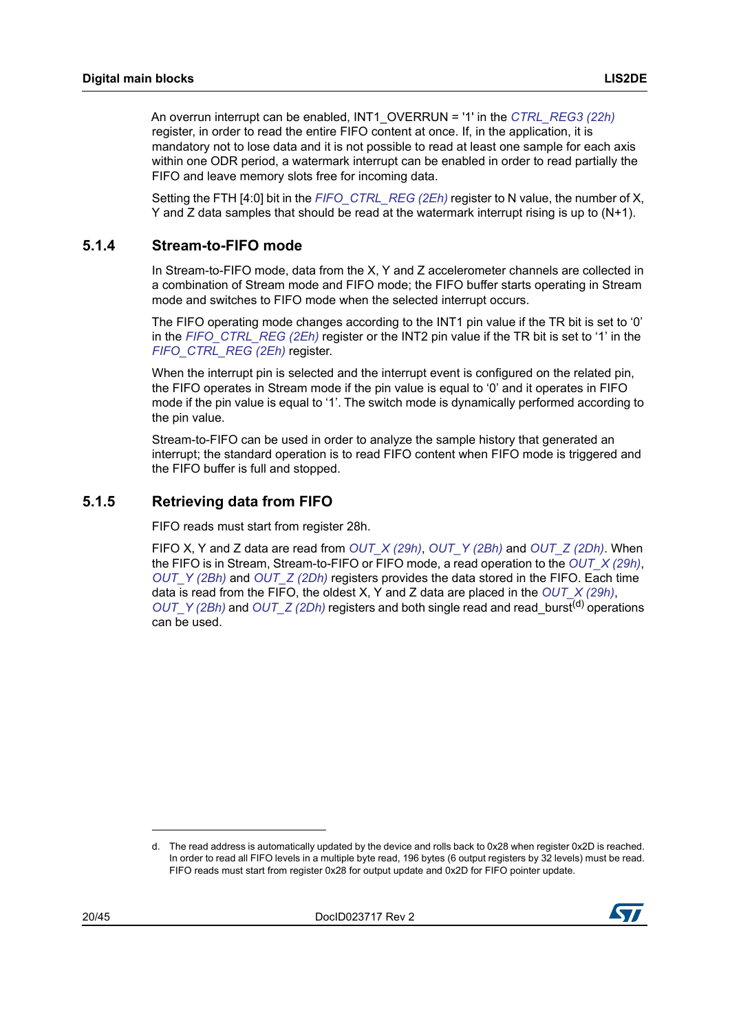An overrun interrupt can be enabled, INT1\_OVERRUN = '1' in the *[CTRL\\_REG3 \(22h\)](#page-30-0)* register, in order to read the entire FIFO content at once. If, in the application, it is mandatory not to lose data and it is not possible to read at least one sample for each axis within one ODR period, a watermark interrupt can be enabled in order to read partially the FIFO and leave memory slots free for incoming data.

Setting the FTH [4:0] bit in the *[FIFO\\_CTRL\\_REG \(2Eh\)](#page-33-3)* register to N value, the number of X, Y and Z data samples that should be read at the watermark interrupt rising is up to (N+1).

### <span id="page-19-0"></span>**5.1.4 Stream-to-FIFO mode**

In Stream-to-FIFO mode, data from the X, Y and Z accelerometer channels are collected in a combination of Stream mode and FIFO mode; the FIFO buffer starts operating in Stream mode and switches to FIFO mode when the selected interrupt occurs.

The FIFO operating mode changes according to the INT1 pin value if the TR bit is set to '0' in the *[FIFO\\_CTRL\\_REG \(2Eh\)](#page-33-3)* register or the INT2 pin value if the TR bit is set to '1' in the *[FIFO\\_CTRL\\_REG \(2Eh\)](#page-33-3)* register.

When the interrupt pin is selected and the interrupt event is configured on the related pin, the FIFO operates in Stream mode if the pin value is equal to '0' and it operates in FIFO mode if the pin value is equal to '1'. The switch mode is dynamically performed according to the pin value.

Stream-to-FIFO can be used in order to analyze the sample history that generated an interrupt; the standard operation is to read FIFO content when FIFO mode is triggered and the FIFO buffer is full and stopped.

### <span id="page-19-1"></span>**5.1.5 Retrieving data from FIFO**

FIFO reads must start from register 28h.

FIFO X, Y and Z data are read from *[OUT\\_X \(29h\)](#page-33-0)*, *[OUT\\_Y \(2Bh\)](#page-33-1)* and *[OUT\\_Z \(2Dh\)](#page-33-2)*. When the FIFO is in Stream, Stream-to-FIFO or FIFO mode, a read operation to the *[OUT\\_X \(29h\)](#page-33-0)*, *[OUT\\_Y \(2Bh\)](#page-33-1)* and *[OUT\\_Z \(2Dh\)](#page-33-2)* registers provides the data stored in the FIFO. Each time data is read from the FIFO, the oldest X, Y and Z data are placed in the *[OUT\\_X \(29h\)](#page-33-0)*, *[OUT\\_Y \(2Bh\)](#page-33-1)* and *[OUT\\_Z \(2Dh\)](#page-33-2)* registers and both single read and read burst<sup>(d)</sup> operations can be used.

d. The read address is automatically updated by the device and rolls back to 0x28 when register 0x2D is reached. In order to read all FIFO levels in a multiple byte read, 196 bytes (6 output registers by 32 levels) must be read. FIFO reads must start from register 0x28 for output update and 0x2D for FIFO pointer update.

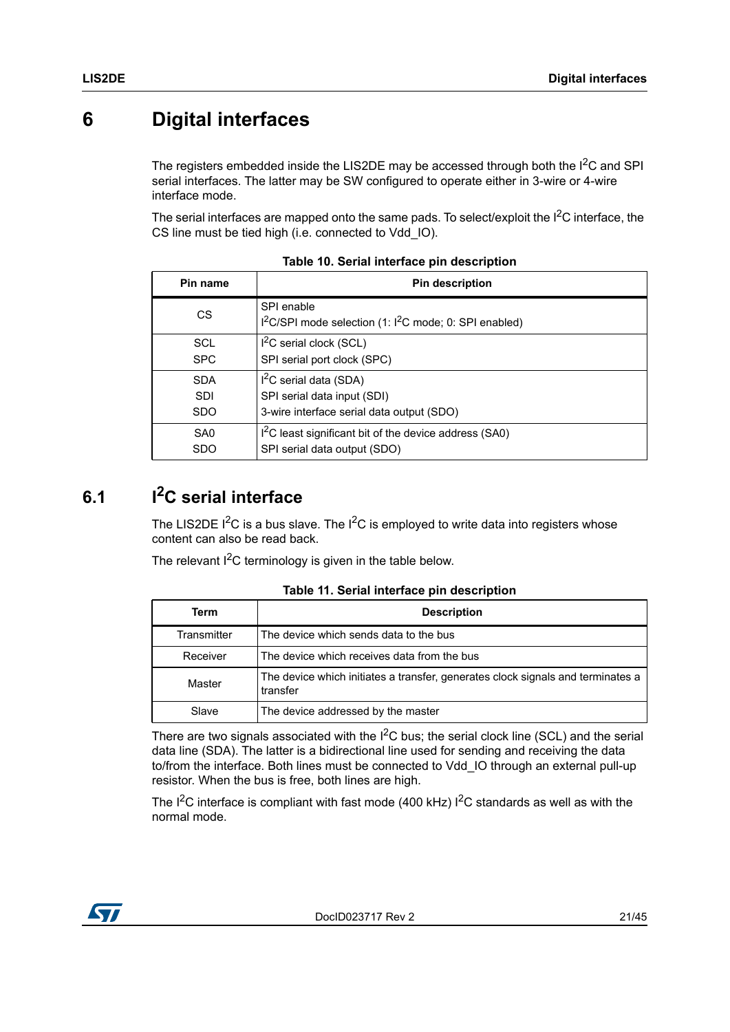## <span id="page-20-0"></span>**6 Digital interfaces**

The registers embedded inside the LIS2DE may be accessed through both the  $1^2C$  and SPI serial interfaces. The latter may be SW configured to operate either in 3-wire or 4-wire interface mode.

The serial interfaces are mapped onto the same pads. To select/exploit the  $1<sup>2</sup>C$  interface, the CS line must be tied high (i.e. connected to Vdd\_IO).

<span id="page-20-2"></span>

| Pin name        | <b>Pin description</b>                                                                       |
|-----------------|----------------------------------------------------------------------------------------------|
| <b>CS</b>       | SPI enable<br>I <sup>2</sup> C/SPI mode selection (1: I <sup>2</sup> C mode; 0: SPI enabled) |
| <b>SCL</b>      | $I2C$ serial clock (SCL)                                                                     |
| <b>SPC</b>      | SPI serial port clock (SPC)                                                                  |
| <b>SDA</b>      | $I2C$ serial data (SDA)                                                                      |
| <b>SDI</b>      | SPI serial data input (SDI)                                                                  |
| <b>SDO</b>      | 3-wire interface serial data output (SDO)                                                    |
| SA <sub>0</sub> | I <sup>2</sup> C least significant bit of the device address (SA0)                           |
| <b>SDO</b>      | SPI serial data output (SDO)                                                                 |

**Table 10. Serial interface pin description**

## <span id="page-20-1"></span>**6.1 I2C serial interface**

The LIS2DE  $1^2C$  is a bus slave. The  $1^2C$  is employed to write data into registers whose content can also be read back.

The relevant  $I^2C$  terminology is given in the table below.

<span id="page-20-3"></span>

| Term        | <b>Description</b>                                                                          |
|-------------|---------------------------------------------------------------------------------------------|
| Transmitter | The device which sends data to the bus                                                      |
| Receiver    | The device which receives data from the bus                                                 |
| Master      | The device which initiates a transfer, generates clock signals and terminates a<br>transfer |
| Slave       | The device addressed by the master                                                          |

#### **Table 11. Serial interface pin description**

There are two signals associated with the  $I^2C$  bus; the serial clock line (SCL) and the serial data line (SDA). The latter is a bidirectional line used for sending and receiving the data to/from the interface. Both lines must be connected to Vdd\_IO through an external pull-up resistor. When the bus is free, both lines are high.

The  $I^2C$  interface is compliant with fast mode (400 kHz)  $I^2C$  standards as well as with the normal mode.

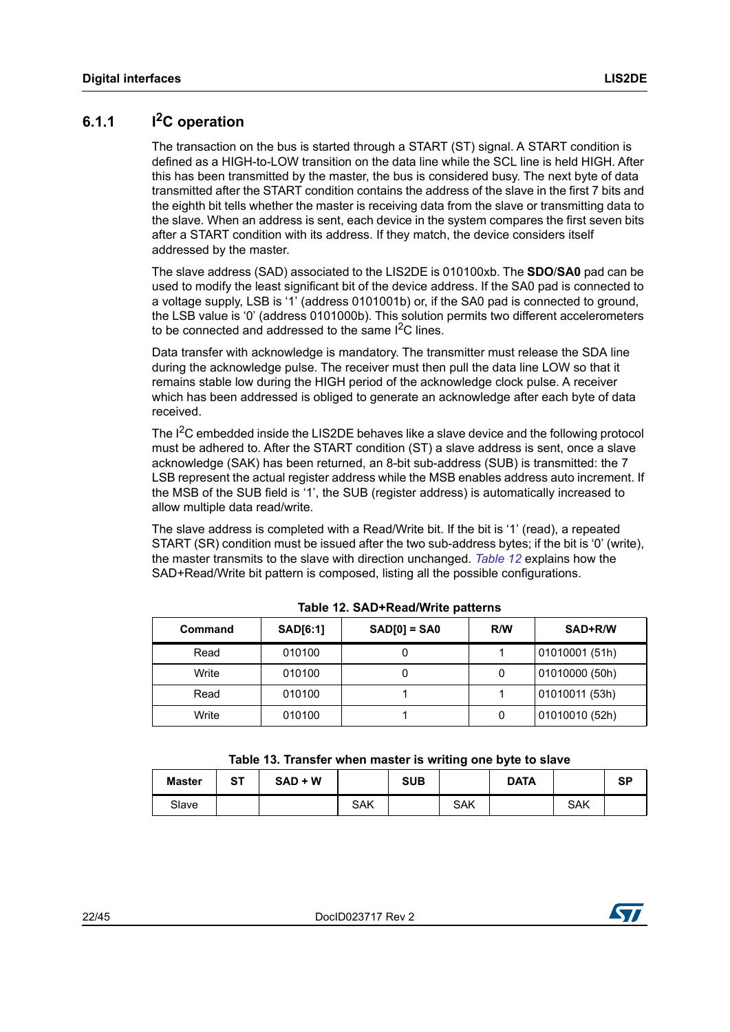### <span id="page-21-0"></span>**6.1.1 I2C operation**

The transaction on the bus is started through a START (ST) signal. A START condition is defined as a HIGH-to-LOW transition on the data line while the SCL line is held HIGH. After this has been transmitted by the master, the bus is considered busy. The next byte of data transmitted after the START condition contains the address of the slave in the first 7 bits and the eighth bit tells whether the master is receiving data from the slave or transmitting data to the slave. When an address is sent, each device in the system compares the first seven bits after a START condition with its address. If they match, the device considers itself addressed by the master.

The slave address (SAD) associated to the LIS2DE is 010100xb. The **SDO**/**SA0** pad can be used to modify the least significant bit of the device address. If the SA0 pad is connected to a voltage supply, LSB is '1' (address 0101001b) or, if the SA0 pad is connected to ground, the LSB value is '0' (address 0101000b). This solution permits two different accelerometers to be connected and addressed to the same  $I<sup>2</sup>C$  lines.

Data transfer with acknowledge is mandatory. The transmitter must release the SDA line during the acknowledge pulse. The receiver must then pull the data line LOW so that it remains stable low during the HIGH period of the acknowledge clock pulse. A receiver which has been addressed is obliged to generate an acknowledge after each byte of data received.

The I<sup>2</sup>C embedded inside the LIS2DE behaves like a slave device and the following protocol must be adhered to. After the START condition (ST) a slave address is sent, once a slave acknowledge (SAK) has been returned, an 8-bit sub-address (SUB) is transmitted: the 7 LSB represent the actual register address while the MSB enables address auto increment. If the MSB of the SUB field is '1', the SUB (register address) is automatically increased to allow multiple data read/write.

The slave address is completed with a Read/Write bit. If the bit is '1' (read), a repeated START (SR) condition must be issued after the two sub-address bytes; if the bit is '0' (write), the master transmits to the slave with direction unchanged. *[Table 12](#page-21-1)* explains how the SAD+Read/Write bit pattern is composed, listing all the possible configurations.

<span id="page-21-1"></span>

| Command | <b>SAD[6:1]</b> | $SAD[0] = SAO$ | R/W | SAD+R/W        |  |  |  |  |  |
|---------|-----------------|----------------|-----|----------------|--|--|--|--|--|
| Read    | 010100          | U              |     | 01010001 (51h) |  |  |  |  |  |
| Write   | 010100          |                | 0   | 01010000 (50h) |  |  |  |  |  |
| Read    | 010100          |                |     | 01010011 (53h) |  |  |  |  |  |
| Write   | 010100          |                |     | 01010010 (52h) |  |  |  |  |  |

**Table 12. SAD+Read/Write patterns**

<span id="page-21-2"></span>

| <b>Master</b> | <b>ST</b> | $SAD + W$ |            | <b>SUB</b> |     | <b>DATA</b> |            | SP |
|---------------|-----------|-----------|------------|------------|-----|-------------|------------|----|
| Slave         |           |           | <b>SAK</b> |            | SAK |             | <b>SAK</b> |    |

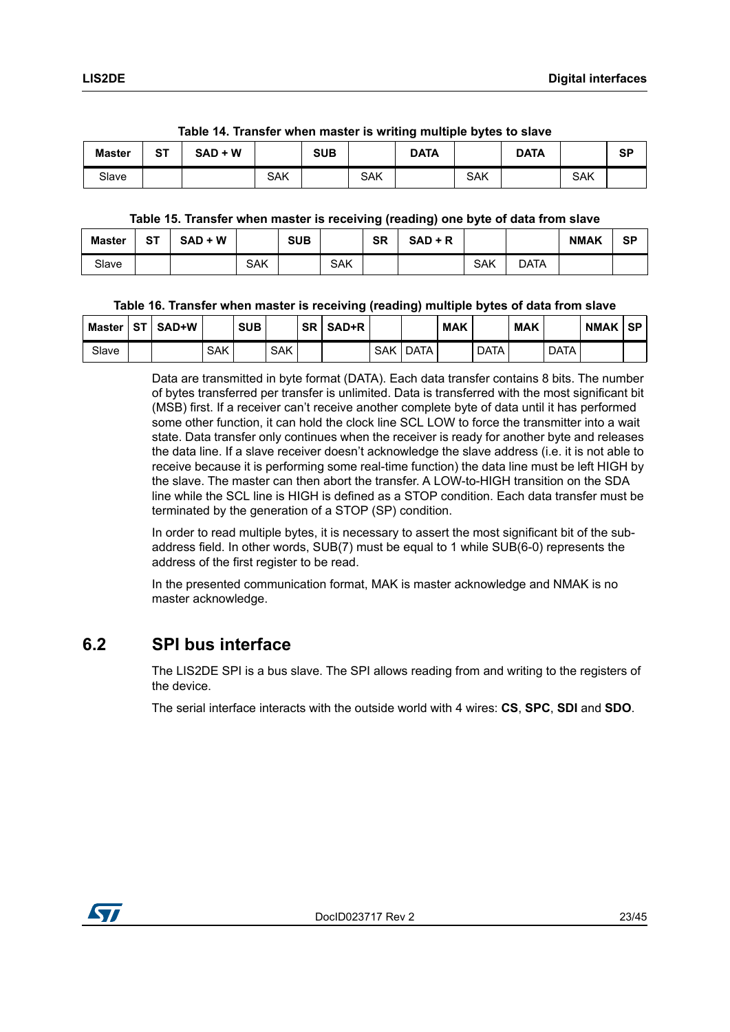<span id="page-22-1"></span>

| Master | SТ | $\mathbf{r}$ , $\mathbf{r}$ , $\mathbf{r}$ , $\mathbf{r}$ , $\mathbf{r}$ , $\mathbf{r}$ , $\mathbf{r}$ , $\mathbf{r}$ , $\mathbf{r}$ , $\mathbf{r}$ , $\mathbf{r}$ , $\mathbf{r}$ , $\mathbf{r}$ , $\mathbf{r}$ , $\mathbf{r}$ , $\mathbf{r}$ , $\mathbf{r}$ , $\mathbf{r}$ , $\mathbf{r}$ , $\mathbf{r}$ ,<br>$SAD + W$ |     | SUB |            | <b>DATA</b> |            | <b>DATA</b> |            | <b>SP</b> |
|--------|----|--------------------------------------------------------------------------------------------------------------------------------------------------------------------------------------------------------------------------------------------------------------------------------------------------------------------------|-----|-----|------------|-------------|------------|-------------|------------|-----------|
| Slave  |    |                                                                                                                                                                                                                                                                                                                          | SAK |     | <b>SAK</b> |             | <b>SAK</b> |             | <b>SAK</b> |           |

#### **Table 14. Transfer when master is writing multiple bytes to slave**

#### **Table 15. Transfer when master is receiving (reading) one byte of data from slave**

<span id="page-22-2"></span>

| <b>Master</b> | <b>ST</b> | $SAD + W$ |     | <b>SUB</b> |            | <b>SR</b> | $SAD + R$ |     |      | <b>NMAK</b> | <b>SP</b> |
|---------------|-----------|-----------|-----|------------|------------|-----------|-----------|-----|------|-------------|-----------|
| Slave         |           |           | SAK |            | <b>SAK</b> |           |           | SAK | DATA |             |           |

#### **Table 16. Transfer when master is receiving (reading) multiple bytes of data from slave**

<span id="page-22-3"></span>

| Master   ST | <b>SAD+W</b> |     | <b>SUB</b> |            | $SR \mid SAD+R$ |            |      | <b>MAK</b> |             | <b>MAK</b> |             | <b>NMAK</b> | l SP |
|-------------|--------------|-----|------------|------------|-----------------|------------|------|------------|-------------|------------|-------------|-------------|------|
| Slave       |              | SAK |            | <b>SAK</b> |                 | <b>SAK</b> | DATA |            | <b>DATA</b> |            | <b>DATA</b> |             |      |

Data are transmitted in byte format (DATA). Each data transfer contains 8 bits. The number of bytes transferred per transfer is unlimited. Data is transferred with the most significant bit (MSB) first. If a receiver can't receive another complete byte of data until it has performed some other function, it can hold the clock line SCL LOW to force the transmitter into a wait state. Data transfer only continues when the receiver is ready for another byte and releases the data line. If a slave receiver doesn't acknowledge the slave address (i.e. it is not able to receive because it is performing some real-time function) the data line must be left HIGH by the slave. The master can then abort the transfer. A LOW-to-HIGH transition on the SDA line while the SCL line is HIGH is defined as a STOP condition. Each data transfer must be terminated by the generation of a STOP (SP) condition.

In order to read multiple bytes, it is necessary to assert the most significant bit of the subaddress field. In other words, SUB(7) must be equal to 1 while SUB(6-0) represents the address of the first register to be read.

In the presented communication format, MAK is master acknowledge and NMAK is no master acknowledge.

### <span id="page-22-0"></span>**6.2 SPI bus interface**

The LIS2DE SPI is a bus slave. The SPI allows reading from and writing to the registers of the device.

The serial interface interacts with the outside world with 4 wires: **CS**, **SPC**, **SDI** and **SDO**.

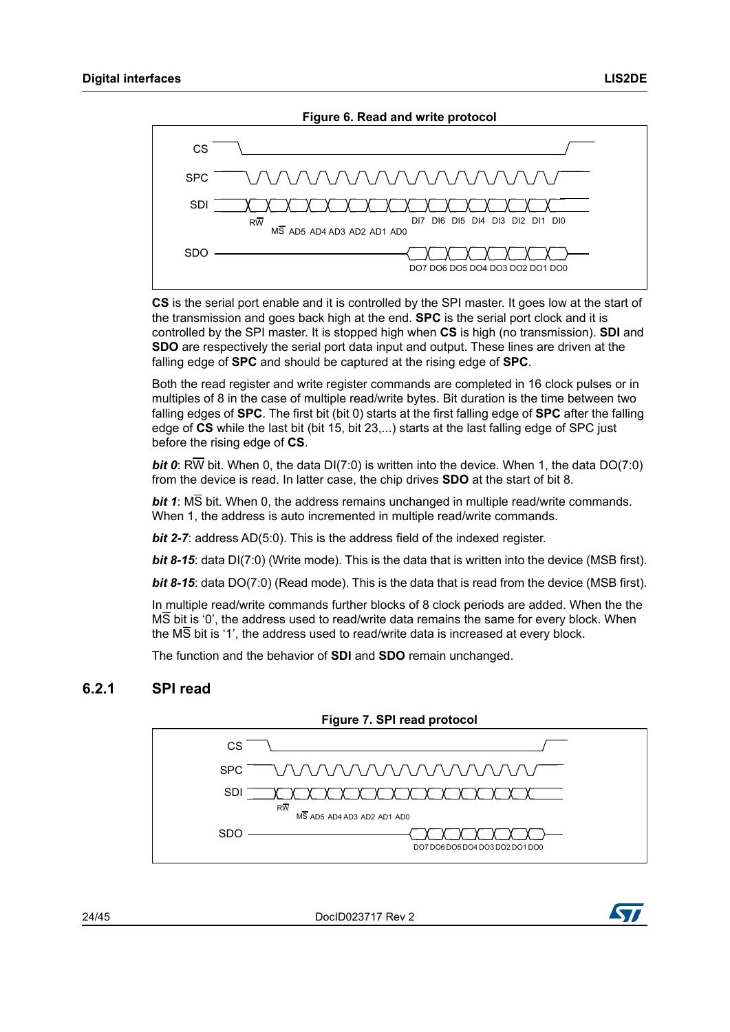

<span id="page-23-1"></span>

**CS** is the serial port enable and it is controlled by the SPI master. It goes low at the start of the transmission and goes back high at the end. **SPC** is the serial port clock and it is controlled by the SPI master. It is stopped high when **CS** is high (no transmission). **SDI** and **SDO** are respectively the serial port data input and output. These lines are driven at the falling edge of **SPC** and should be captured at the rising edge of **SPC**.

Both the read register and write register commands are completed in 16 clock pulses or in multiples of 8 in the case of multiple read/write bytes. Bit duration is the time between two falling edges of **SPC**. The first bit (bit 0) starts at the first falling edge of **SPC** after the falling edge of **CS** while the last bit (bit 15, bit 23,...) starts at the last falling edge of SPC just before the rising edge of **CS**.

*bit 0*: RW bit. When 0, the data DI(7:0) is written into the device. When 1, the data DO(7:0) from the device is read. In latter case, the chip drives **SDO** at the start of bit 8.

*bit 1*: MS bit. When 0, the address remains unchanged in multiple read/write commands. When 1, the address is auto incremented in multiple read/write commands.

*bit 2-7*: address AD(5:0). This is the address field of the indexed register.

*bit 8-15*: data DI(7:0) (Write mode). This is the data that is written into the device (MSB first).

*bit 8-15*: data DO(7:0) (Read mode). This is the data that is read from the device (MSB first).

In multiple read/write commands further blocks of 8 clock periods are added. When the the MS bit is '0', the address used to read/write data remains the same for every block. When the MS bit is '1', the address used to read/write data is increased at every block.

The function and the behavior of **SDI** and **SDO** remain unchanged.

#### <span id="page-23-0"></span>**6.2.1 SPI read**

<span id="page-23-2"></span>

24/45 DocID023717 Rev 2

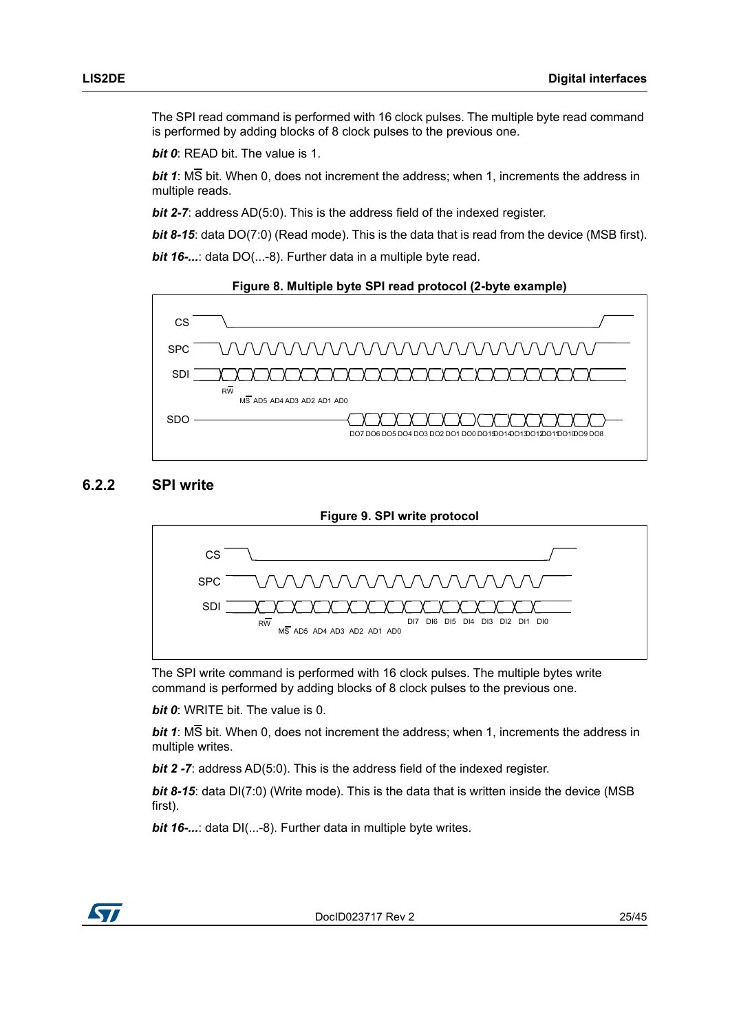The SPI read command is performed with 16 clock pulses. The multiple byte read command is performed by adding blocks of 8 clock pulses to the previous one.

*bit 0*: READ bit. The value is 1.

*bit 1*: MS bit. When 0, does not increment the address; when 1, increments the address in multiple reads.

*bit 2-7:* address AD(5:0). This is the address field of the indexed register.

**bit 8-15**: data DO(7:0) (Read mode). This is the data that is read from the device (MSB first).

*bit 16-...*: data DO(...-8). Further data in a multiple byte read.

<span id="page-24-1"></span>

#### <span id="page-24-0"></span>**6.2.2 SPI write**

<span id="page-24-2"></span>

The SPI write command is performed with 16 clock pulses. The multiple bytes write command is performed by adding blocks of 8 clock pulses to the previous one.

*bit 0*: WRITE bit. The value is 0.

*bit 1*: MS bit. When 0, does not increment the address; when 1, increments the address in multiple writes.

*bit 2 -7:* address AD(5:0). This is the address field of the indexed register.

*bit 8-15*: data DI(7:0) (Write mode). This is the data that is written inside the device (MSB first).

*bit 16-...*: data DI(...-8). Further data in multiple byte writes.

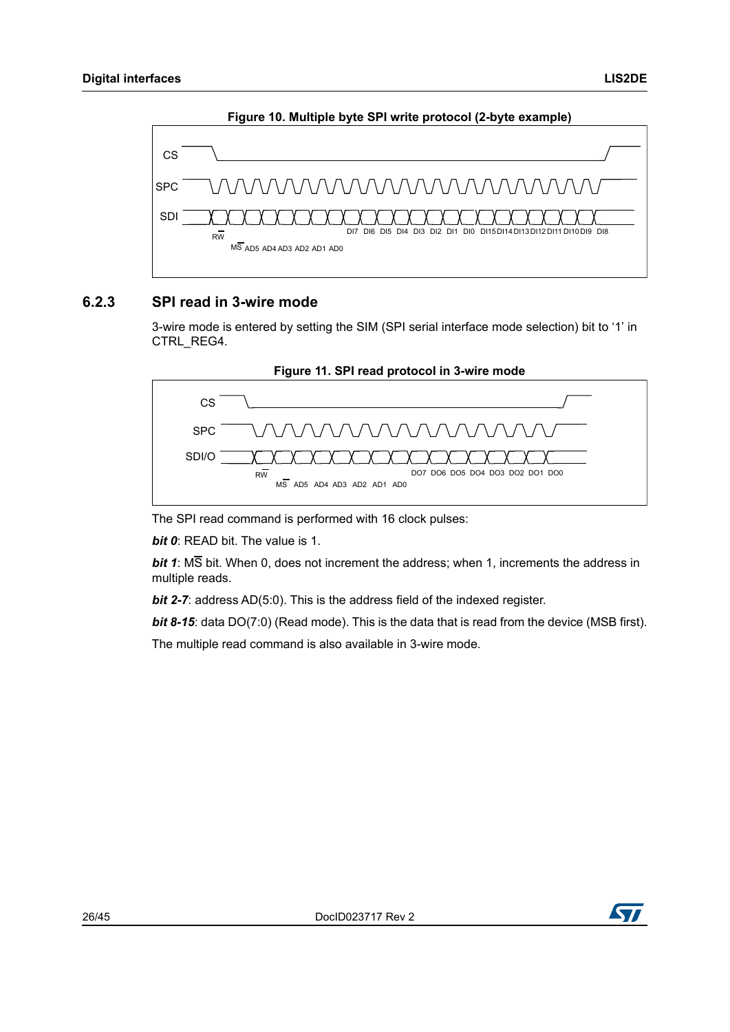<span id="page-25-1"></span>

#### **Figure 10. Multiple byte SPI write protocol (2-byte example)**

### <span id="page-25-0"></span>**6.2.3 SPI read in 3-wire mode**

3-wire mode is entered by setting the SIM (SPI serial interface mode selection) bit to '1' in CTRL\_REG4.

<span id="page-25-2"></span>

The SPI read command is performed with 16 clock pulses:

*bit 0*: READ bit. The value is 1.

*bit 1*: MS bit. When 0, does not increment the address; when 1, increments the address in multiple reads.

*bit 2-7:* address AD(5:0). This is the address field of the indexed register.

**bit 8-15**: data DO(7:0) (Read mode). This is the data that is read from the device (MSB first).

The multiple read command is also available in 3-wire mode.

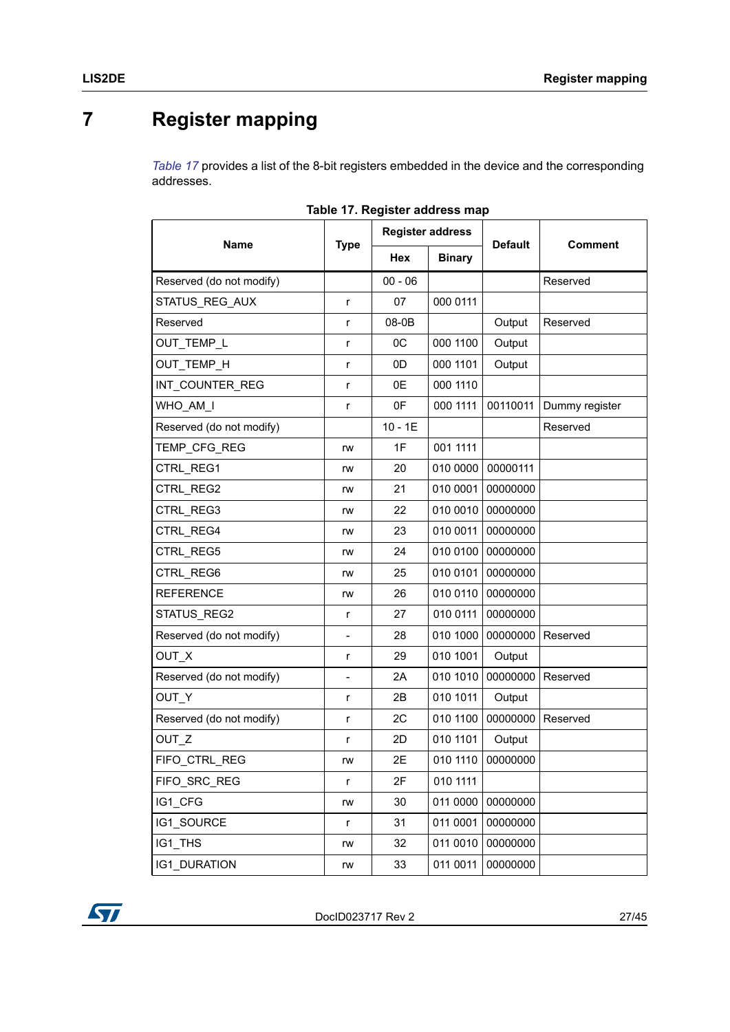# <span id="page-26-0"></span>**7 Register mapping**

*[Table 17](#page-26-1)* provides a list of the 8-bit registers embedded in the device and the corresponding addresses.

<span id="page-26-1"></span>

|                          |                          | <b>Register address</b> |               |                |                |
|--------------------------|--------------------------|-------------------------|---------------|----------------|----------------|
| <b>Name</b>              | <b>Type</b>              | Hex                     | <b>Binary</b> | <b>Default</b> | <b>Comment</b> |
| Reserved (do not modify) |                          | $00 - 06$               |               |                | Reserved       |
| STATUS_REG_AUX           | r                        | 07                      | 000 0111      |                |                |
| Reserved                 | r                        | 08-0B                   |               | Output         | Reserved       |
| OUT_TEMP_L               | r                        | 0C                      | 000 1100      | Output         |                |
| OUT TEMP H               | r                        | 0D                      | 000 1101      | Output         |                |
| INT COUNTER REG          | r                        | 0E                      | 000 1110      |                |                |
| WHO AM I                 | $\mathsf{r}$             | 0F                      | 000 1111      | 00110011       | Dummy register |
| Reserved (do not modify) |                          | $10 - 1E$               |               |                | Reserved       |
| TEMP_CFG_REG             | rw                       | 1F                      | 001 1111      |                |                |
| CTRL REG1                | rw                       | 20                      | 010 0000      | 00000111       |                |
| CTRL REG2                | rw                       | 21                      | 010 0001      | 00000000       |                |
| CTRL REG3                | rw                       | 22                      | 010 0010      | 00000000       |                |
| CTRL REG4                | rw                       | 23                      | 010 0011      | 00000000       |                |
| CTRL REG5                | rw                       | 24                      | 010 0100      | 00000000       |                |
| CTRL REG6                | rw                       | 25                      | 010 0101      | 00000000       |                |
| <b>REFERENCE</b>         | rw                       | 26                      | 010 0110      | 00000000       |                |
| STATUS REG2              | r                        | 27                      | 010 0111      | 00000000       |                |
| Reserved (do not modify) | $\overline{\phantom{0}}$ | 28                      | 010 1000      | 00000000       | Reserved       |
| OUT_X                    | $\mathsf{r}$             | 29                      | 010 1001      | Output         |                |
| Reserved (do not modify) | $\overline{\phantom{0}}$ | 2A                      | 010 1010      | 00000000       | Reserved       |
| OUT_Y                    | r                        | 2B                      | 010 1011      | Output         |                |
| Reserved (do not modify) | r                        | 2C                      | 010 1100      | 00000000       | Reserved       |
| OUT Z                    | r                        | 2D                      | 010 1101      | Output         |                |
| FIFO CTRL REG            | rw                       | 2E                      | 010 1110      | 00000000       |                |
| FIFO SRC REG             | r                        | 2F                      | 010 1111      |                |                |
| IG1 CFG                  | rw                       | 30                      | 011 0000      | 00000000       |                |
| <b>IG1 SOURCE</b>        | r                        | 31                      | 011 0001      | 00000000       |                |
| IG1 THS                  | rw                       | 32                      | 011 0010      | 00000000       |                |
| <b>IG1 DURATION</b>      | rw                       | 33                      | 011 0011      | 00000000       |                |

| Table 17. Register address map |  |
|--------------------------------|--|
|--------------------------------|--|

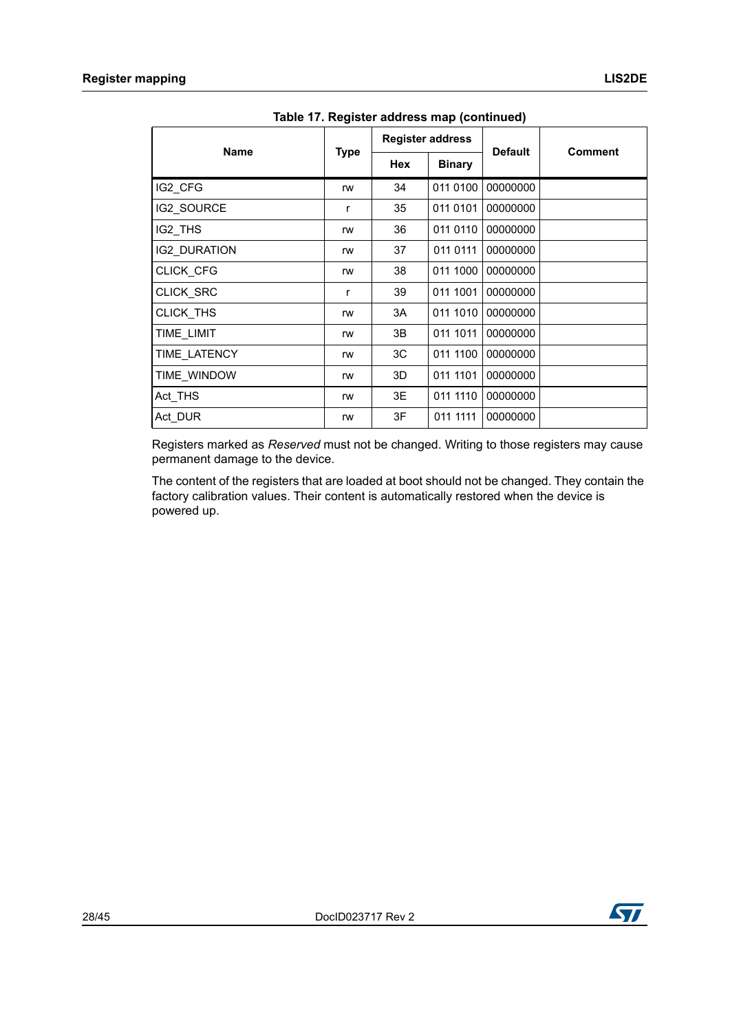| <b>Name</b>         |             | <b>Register address</b> |               | <b>Default</b> | <b>Comment</b> |  |  |  |  |  |  |  |
|---------------------|-------------|-------------------------|---------------|----------------|----------------|--|--|--|--|--|--|--|
|                     | <b>Type</b> | Hex                     | <b>Binary</b> |                |                |  |  |  |  |  |  |  |
| IG2_CFG             | rw          | 34                      | 011 0100      | 00000000       |                |  |  |  |  |  |  |  |
| IG2 SOURCE          | r           | 35                      | 011 0101      | 00000000       |                |  |  |  |  |  |  |  |
| IG2_THS             | rw          | 36                      | 011 0110      | 00000000       |                |  |  |  |  |  |  |  |
| <b>IG2 DURATION</b> | rw          | 37                      | 011 0111      | 00000000       |                |  |  |  |  |  |  |  |
| <b>CLICK CFG</b>    | rw          | 38                      | 011 1000      | 00000000       |                |  |  |  |  |  |  |  |
| CLICK_SRC           | r           | 39                      | 011 1001      | 00000000       |                |  |  |  |  |  |  |  |
| CLICK THS           | rw          | 3A                      | 011 1010      | 00000000       |                |  |  |  |  |  |  |  |
| TIME LIMIT          | rw          | 3B                      | 011 1011      | 00000000       |                |  |  |  |  |  |  |  |
| TIME LATENCY        | rw          | ЗC                      | 011 1100      | 00000000       |                |  |  |  |  |  |  |  |
| TIME WINDOW         | rw          | 3D                      | 011 1101      | 00000000       |                |  |  |  |  |  |  |  |
| Act_THS             | rw          | 3E                      | 011 1110      | 00000000       |                |  |  |  |  |  |  |  |
| Act_DUR             | rw          | 3F                      | 011 1111      | 00000000       |                |  |  |  |  |  |  |  |

**Table 17. Register address map (continued)**

Registers marked as *Reserved* must not be changed. Writing to those registers may cause permanent damage to the device.

The content of the registers that are loaded at boot should not be changed. They contain the factory calibration values. Their content is automatically restored when the device is powered up.

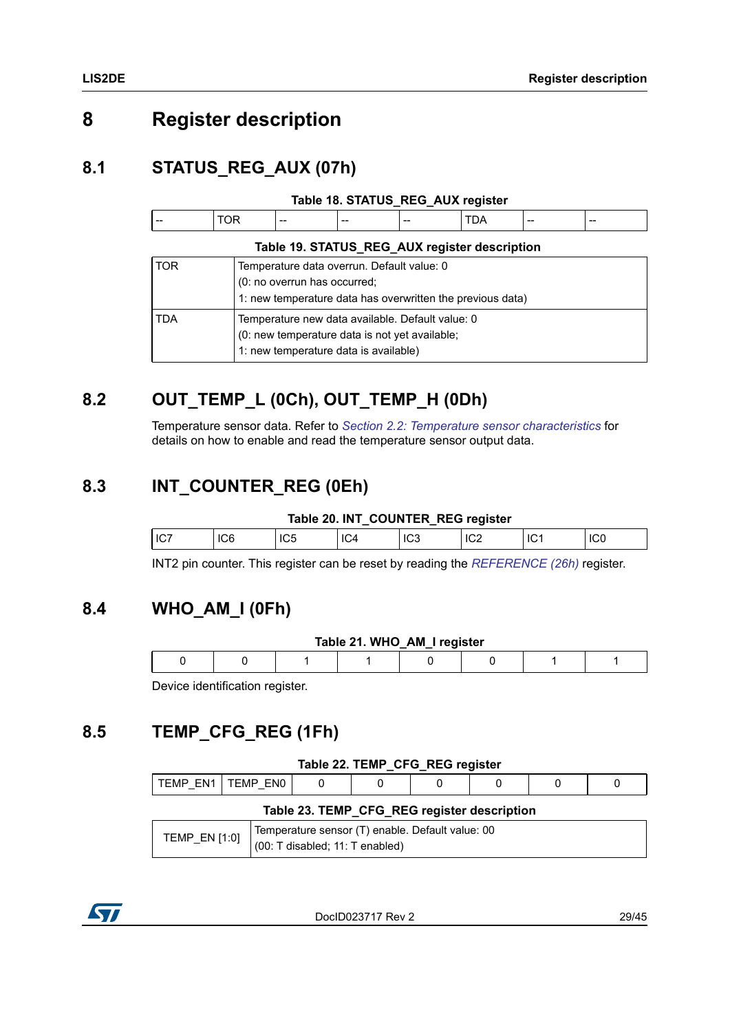## <span id="page-28-0"></span>**8 Register description**

## <span id="page-28-1"></span>**8.1 STATUS\_REG\_AUX (07h)**

<span id="page-28-6"></span>

| $- -$<br>$- -$<br>--<br>$- -$<br>$- -$<br>--- |  |  |  |  |  |  |  |  |
|-----------------------------------------------|--|--|--|--|--|--|--|--|
|-----------------------------------------------|--|--|--|--|--|--|--|--|

<span id="page-28-7"></span>

|     | Table 19. STATUS_REG_AUX register description                                                                                               |  |  |  |  |  |  |  |
|-----|---------------------------------------------------------------------------------------------------------------------------------------------|--|--|--|--|--|--|--|
| TOR | Temperature data overrun. Default value: 0                                                                                                  |  |  |  |  |  |  |  |
|     | (0: no overrun has occurred;<br>1: new temperature data has overwritten the previous data)                                                  |  |  |  |  |  |  |  |
| TDA | Temperature new data available. Default value: 0<br>(0: new temperature data is not yet available;<br>1: new temperature data is available) |  |  |  |  |  |  |  |

## <span id="page-28-2"></span>**8.2 OUT\_TEMP\_L (0Ch), OUT\_TEMP\_H (0Dh)**

Temperature sensor data. Refer to *[Section 2.2: Temperature sensor characteristics](#page-10-0)* for details on how to enable and read the temperature sensor output data.

### <span id="page-28-3"></span>**8.3 INT\_COUNTER\_REG (0Eh)**

#### **Table 20. INT\_COUNTER\_REG register**

<span id="page-28-8"></span>

| l I ( | lUd | IC <sub>5</sub> | רש' | دت∪ا | IC <sub>2</sub> | ୲୲୲୲ |
|-------|-----|-----------------|-----|------|-----------------|------|
|       |     |                 |     |      |                 |      |

INT2 pin counter. This register can be reset by reading the *[REFERENCE \(26h\)](#page-32-1)* register.

### <span id="page-28-4"></span>**8.4 WHO\_AM\_I (0Fh)**

<span id="page-28-9"></span>

| Table 21. WHO_AM_I register |  |  |  |  |  |  |  |  |  |  |
|-----------------------------|--|--|--|--|--|--|--|--|--|--|
|                             |  |  |  |  |  |  |  |  |  |  |
|                             |  |  |  |  |  |  |  |  |  |  |

Device identification register.

## <span id="page-28-5"></span>**8.5 TEMP\_CFG\_REG (1Fh)**

<span id="page-28-10"></span>

|                                             | Table 22. TEMP CFG REG register |  |  |  |  |  |  |  |  |  |  |
|---------------------------------------------|---------------------------------|--|--|--|--|--|--|--|--|--|--|
|                                             | TEMP EN1   TEMP EN0             |  |  |  |  |  |  |  |  |  |  |
| Table 23. TEMP_CFG_REG register description |                                 |  |  |  |  |  |  |  |  |  |  |

<span id="page-28-11"></span>

|                 | Temperature sensor (T) enable. Default value: 00 |
|-----------------|--------------------------------------------------|
| TEMP EN $[1:0]$ | (00: T disabled; 11: T enabled)                  |

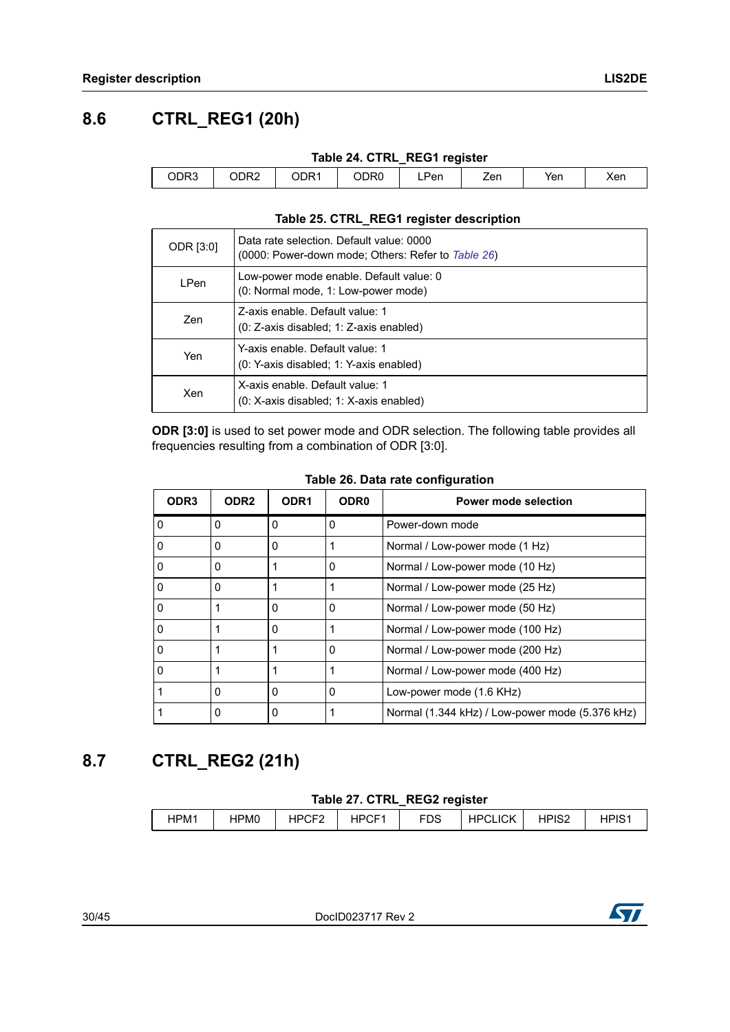## <span id="page-29-0"></span>**8.6 CTRL\_REG1 (20h)**

<span id="page-29-2"></span>

|      | Table 24. CTRL_REG1 register |      |      |      |     |     |     |  |  |  |  |
|------|------------------------------|------|------|------|-----|-----|-----|--|--|--|--|
| ODR3 | CDR2                         | ODR1 | ODR0 | LPen | Zen | Yen | Xer |  |  |  |  |

#### **Table 25. CTRL\_REG1 register description**

<span id="page-29-3"></span>

| ODR [3:0]   | Data rate selection. Default value: 0000<br>(0000: Power-down mode; Others: Refer to Table 26) |
|-------------|------------------------------------------------------------------------------------------------|
| <b>LPen</b> | Low-power mode enable. Default value: 0<br>(0: Normal mode, 1: Low-power mode)                 |
| Zen         | Z-axis enable. Default value: 1<br>(0: Z-axis disabled; 1: Z-axis enabled)                     |
| Yen         | Y-axis enable. Default value: 1<br>(0: Y-axis disabled; 1: Y-axis enabled)                     |
| Xen         | X-axis enable. Default value: 1<br>(0: X-axis disabled; 1: X-axis enabled)                     |

**ODR [3:0]** is used to set power mode and ODR selection. The following table provides all frequencies resulting from a combination of ODR [3:0].

<span id="page-29-4"></span>

| ODR <sub>3</sub> | ODR <sub>2</sub> | ODR <sub>1</sub> | ODR <sub>0</sub> | Power mode selection                            |
|------------------|------------------|------------------|------------------|-------------------------------------------------|
| $\Omega$         | 0                | 0                | 0                | Power-down mode                                 |
|                  | $\Omega$         | $\Omega$         |                  | Normal / Low-power mode (1 Hz)                  |
|                  | 0                |                  | 0                | Normal / Low-power mode (10 Hz)                 |
|                  | 0                |                  |                  | Normal / Low-power mode (25 Hz)                 |
|                  |                  | $\Omega$         | 0                | Normal / Low-power mode (50 Hz)                 |
|                  |                  | $\Omega$         |                  | Normal / Low-power mode (100 Hz)                |
|                  |                  | 1                | 0                | Normal / Low-power mode (200 Hz)                |
|                  |                  |                  |                  | Normal / Low-power mode (400 Hz)                |
|                  | 0                | 0                | 0                | Low-power mode (1.6 KHz)                        |
|                  | 0                | 0                |                  | Normal (1.344 kHz) / Low-power mode (5.376 kHz) |

#### **Table 26. Data rate configuration**

## <span id="page-29-1"></span>**8.7 CTRL\_REG2 (21h)**

#### **Table 27. CTRL\_REG2 register**

<span id="page-29-5"></span>

| HPM1 | HPM0 | いへにつ<br><b>LIDC</b><br>ັ | <b>HPCF</b> | __<br><b>FDS</b> | <b>CLICK</b><br>HPC | HPIS2 | י ⊃וסו |
|------|------|--------------------------|-------------|------------------|---------------------|-------|--------|
|      |      |                          |             |                  |                     |       |        |

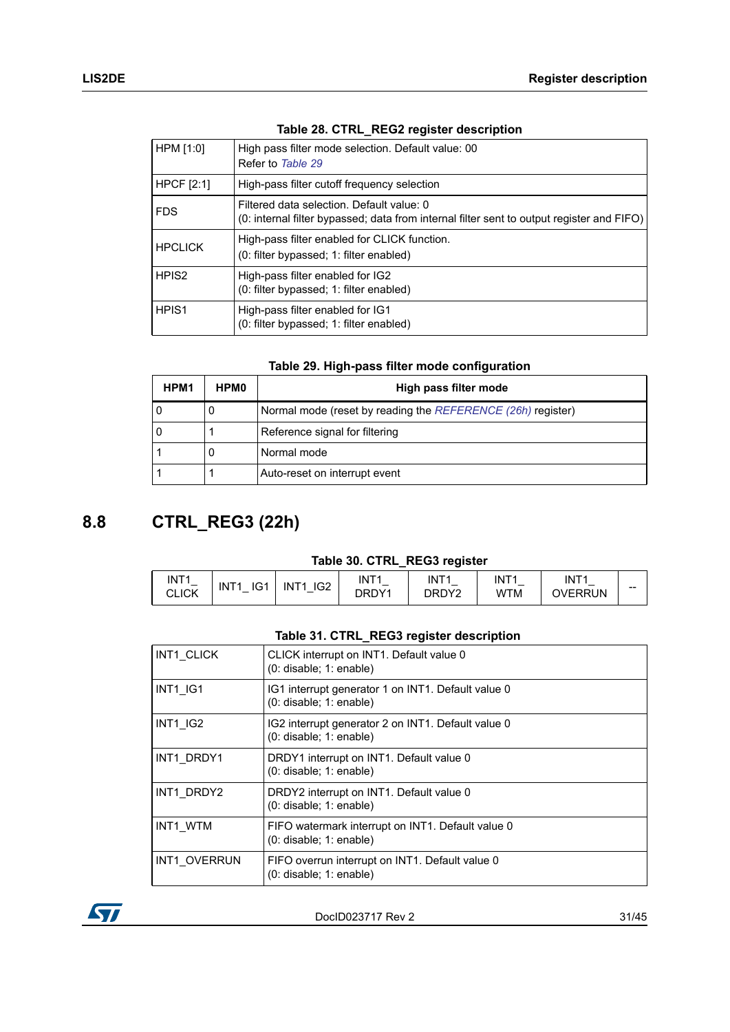|  |  | Table 28. CTRL_REG2 register description |
|--|--|------------------------------------------|
|  |  |                                          |

<span id="page-30-1"></span>

| HPM [1:0]         | High pass filter mode selection. Default value: 00<br>Refer to Table 29                                                                |
|-------------------|----------------------------------------------------------------------------------------------------------------------------------------|
| <b>HPCF</b> [2:1] | High-pass filter cutoff frequency selection                                                                                            |
| <b>FDS</b>        | Filtered data selection. Default value: 0<br>(0: internal filter bypassed; data from internal filter sent to output register and FIFO) |
| <b>HPCLICK</b>    | High-pass filter enabled for CLICK function.<br>(0: filter bypassed; 1: filter enabled)                                                |
| HPIS <sub>2</sub> | High-pass filter enabled for IG2<br>(0: filter bypassed; 1: filter enabled)                                                            |
| HPIS <sub>1</sub> | High-pass filter enabled for IG1<br>(0: filter bypassed; 1: filter enabled)                                                            |

|  |  |  | Table 29. High-pass filter mode configuration |
|--|--|--|-----------------------------------------------|
|--|--|--|-----------------------------------------------|

<span id="page-30-2"></span>

| HPM1 | <b>HPM0</b> | High pass filter mode                                       |
|------|-------------|-------------------------------------------------------------|
| 0    | υ           | Normal mode (reset by reading the REFERENCE (26h) register) |
| 0    |             | Reference signal for filtering                              |
|      | υ           | Normal mode                                                 |
|      |             | Auto-reset on interrupt event                               |

## <span id="page-30-0"></span>**8.8 CTRL\_REG3 (22h)**

#### **Table 30. CTRL\_REG3 register**

<span id="page-30-3"></span>

| INT <sub>1</sub><br><b>CLICK</b> | $\sim$<br>IN<br>$T^*$<br>וט | IG2<br>ITA<br>IN<br>$\overline{\phantom{0}}$ | INT <sub>1</sub><br>-<br>DRDY1 | INT <sub>1</sub><br>DRDY2 | INT <sub>1</sub><br>WTM | INT <sub>1</sub><br>VERRUN | $- -$ |
|----------------------------------|-----------------------------|----------------------------------------------|--------------------------------|---------------------------|-------------------------|----------------------------|-------|
|----------------------------------|-----------------------------|----------------------------------------------|--------------------------------|---------------------------|-------------------------|----------------------------|-------|

### **Table 31. CTRL\_REG3 register description**

<span id="page-30-4"></span>

| <b>INT1 CLICK</b> | CLICK interrupt on INT1. Default value 0<br>$(0:$ disable; $1:$ enable)           |
|-------------------|-----------------------------------------------------------------------------------|
| INT1 IG1          | IG1 interrupt generator 1 on INT1. Default value 0<br>$(0:$ disable; $1:$ enable) |
| INT1 IG2          | IG2 interrupt generator 2 on INT1. Default value 0<br>$(0:$ disable; 1: enable)   |
| INT1 DRDY1        | DRDY1 interrupt on INT1. Default value 0<br>$(0:$ disable; 1: enable)             |
| INT1 DRDY2        | DRDY2 interrupt on INT1. Default value 0<br>$(0:$ disable; $1:$ enable)           |
| INT1 WTM          | FIFO watermark interrupt on INT1. Default value 0<br>$(0:$ disable; 1: enable)    |
| INT1 OVERRUN      | FIFO overrun interrupt on INT1. Default value 0<br>$(0:$ disable; $1:$ enable)    |

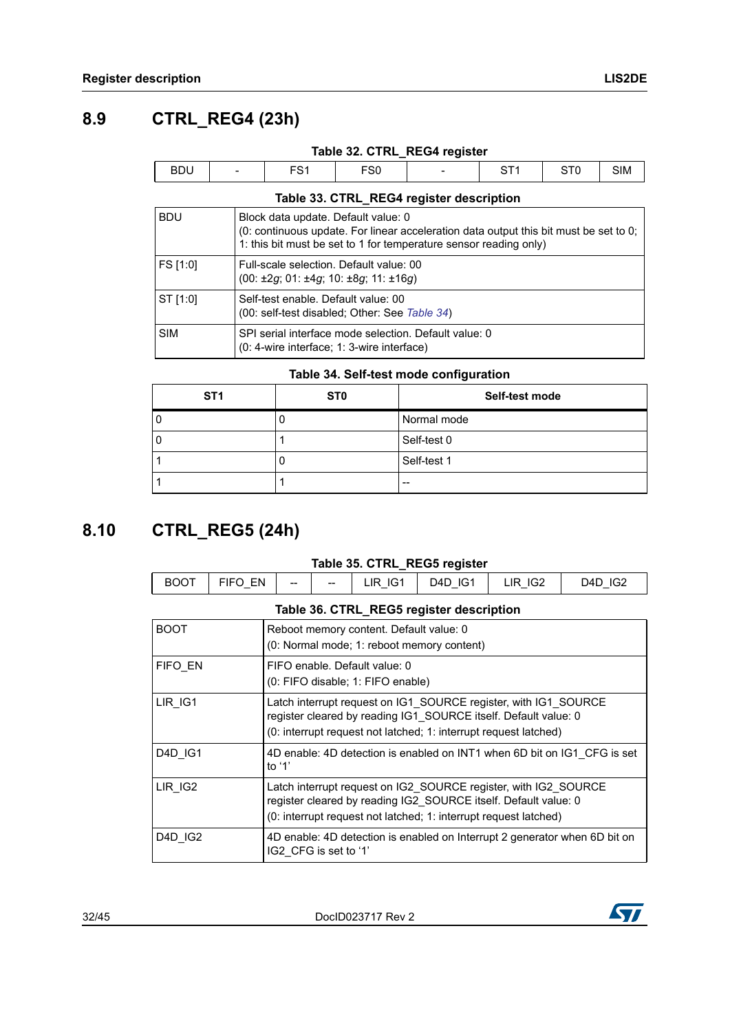<span id="page-31-0"></span> $\Box$ 

<span id="page-31-2"></span>

|            |                          |                 |     | Table 32. CTRL_REG4 register |  |     |
|------------|--------------------------|-----------------|-----|------------------------------|--|-----|
| <b>BDU</b> | $\overline{\phantom{0}}$ | EC <sub>1</sub> | FS0 | $\overline{\phantom{0}}$     |  | SIM |

|  |  | Table 33. CTRL_REG4 register description |
|--|--|------------------------------------------|
|  |  |                                          |

<span id="page-31-3"></span>

| <b>BDU</b> | Block data update. Default value: 0<br>(0: continuous update. For linear acceleration data output this bit must be set to 0;<br>1: this bit must be set to 1 for temperature sensor reading only) |
|------------|---------------------------------------------------------------------------------------------------------------------------------------------------------------------------------------------------|
| FS [1:0]   | Full-scale selection. Default value: 00<br>$(00: \pm 2g; 01: \pm 4g; 10: \pm 8g; 11: \pm 16g)$                                                                                                    |
| ST [1:0]   | Self-test enable. Default value: 00<br>(00: self-test disabled; Other: See Table 34)                                                                                                              |
| <b>SIM</b> | SPI serial interface mode selection. Default value: 0<br>(0: 4-wire interface; 1: 3-wire interface)                                                                                               |

#### **Table 34. Self-test mode configuration**

<span id="page-31-4"></span>

| ST <sub>1</sub> | ST <sub>0</sub> | Self-test mode |
|-----------------|-----------------|----------------|
|                 |                 | Normal mode    |
| υ               |                 | Self-test 0    |
|                 |                 | Self-test 1    |
|                 |                 | --             |

## <span id="page-31-1"></span>**8.10 CTRL\_REG5 (24h)**

#### **Table 35. CTRL\_REG5 register**

<span id="page-31-5"></span>

| $\sim$ $-$<br>В١<br>טש | $-$<br>EN<br>트바 | $- -$ | $- -$<br>-- | $\sim$<br>IR<br>$\overline{\phantom{0}}$ | IG <sup>1</sup><br>ـ 24D<br>$\overline{\phantom{0}}$ | IG <sub>2</sub><br>$\overline{\phantom{0}}$ | $\sim$<br>74∼<br>$\overline{\phantom{0}}$ |
|------------------------|-----------------|-------|-------------|------------------------------------------|------------------------------------------------------|---------------------------------------------|-------------------------------------------|
|                        |                 |       |             |                                          |                                                      |                                             |                                           |

<span id="page-31-6"></span>

|                | Table 36. CTRL_REG5 register description                                                                                                                                                               |
|----------------|--------------------------------------------------------------------------------------------------------------------------------------------------------------------------------------------------------|
| <b>BOOT</b>    | Reboot memory content. Default value: 0<br>(0: Normal mode; 1: reboot memory content)                                                                                                                  |
| <b>FIFO EN</b> | FIFO enable. Default value: 0<br>(0: FIFO disable; 1: FIFO enable)                                                                                                                                     |
| LIR IG1        | Latch interrupt request on IG1 SOURCE register, with IG1 SOURCE<br>register cleared by reading IG1 SOURCE itself. Default value: 0<br>(0: interrupt request not latched; 1: interrupt request latched) |
| D4D IG1        | 4D enable: 4D detection is enabled on INT1 when 6D bit on IG1 CFG is set<br>to $'1'$                                                                                                                   |
| LIR IG2        | Latch interrupt request on IG2 SOURCE register, with IG2 SOURCE<br>register cleared by reading IG2 SOURCE itself. Default value: 0<br>(0: interrupt request not latched; 1: interrupt request latched) |
| D4D IG2        | 4D enable: 4D detection is enabled on Interrupt 2 generator when 6D bit on<br>IG2 CFG is set to '1'                                                                                                    |

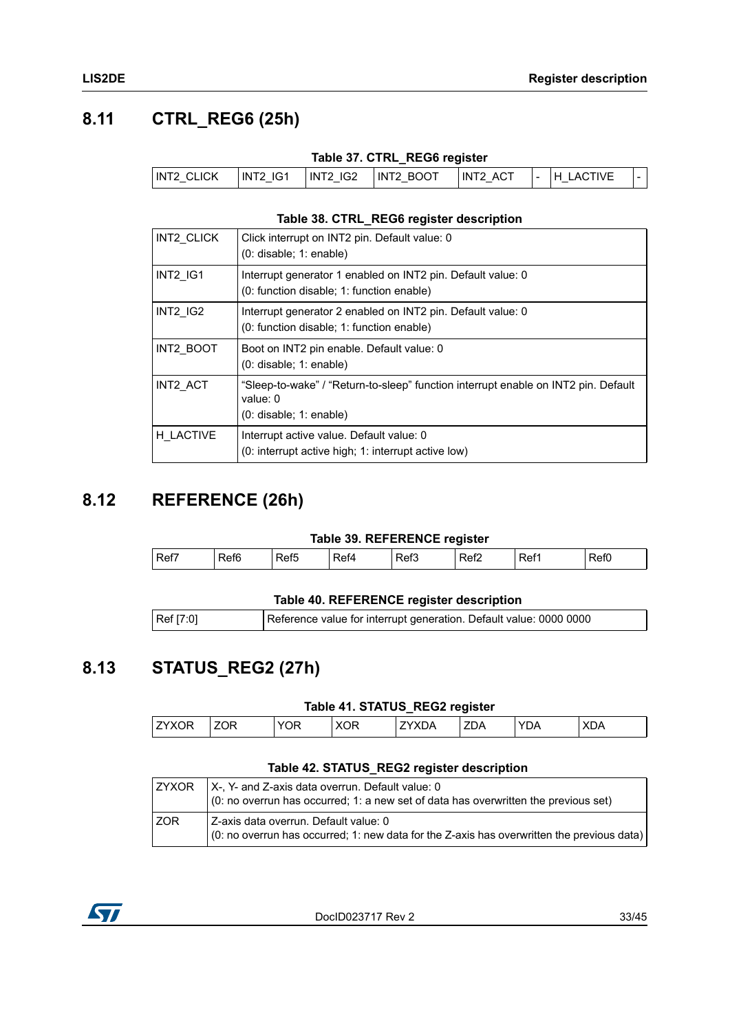## <span id="page-32-0"></span>**8.11 CTRL\_REG6 (25h)**

| Table 37. CTRL_REG6 register |  |  |
|------------------------------|--|--|
|                              |  |  |

<span id="page-32-3"></span>

| INT2 CLICK | <b>INT2 IG1</b> | INT2   IG2 | INT2 BOOT | <b>ACT</b><br>INT2 | - | ACTIVE |  |
|------------|-----------------|------------|-----------|--------------------|---|--------|--|
|------------|-----------------|------------|-----------|--------------------|---|--------|--|

#### **Table 38. CTRL\_REG6 register description**

<span id="page-32-4"></span>

| INT2 CLICK      | Click interrupt on INT2 pin. Default value: 0<br>$(0:$ disable; 1: enable)                                                    |
|-----------------|-------------------------------------------------------------------------------------------------------------------------------|
| INT2 IG1        | Interrupt generator 1 enabled on INT2 pin. Default value: 0<br>(0: function disable; 1: function enable)                      |
| <b>INT2 IG2</b> | Interrupt generator 2 enabled on INT2 pin. Default value: 0<br>(0: function disable; 1: function enable)                      |
| INT2 BOOT       | Boot on INT2 pin enable. Default value: 0<br>$(0:$ disable; 1: enable)                                                        |
| INT2 ACT        | "Sleep-to-wake" / "Return-to-sleep" function interrupt enable on INT2 pin. Default<br>value: $0$<br>$(0:$ disable; 1: enable) |
| H LACTIVE       | Interrupt active value. Default value: 0<br>(0: interrupt active high; 1: interrupt active low)                               |

### <span id="page-32-1"></span>**8.12 REFERENCE (26h)**

#### **Table 39. REFERENCE register**

<span id="page-32-5"></span>

| Ref7 | ்≏f<br>טוע | $\overline{\phantom{a}}$<br>ເຕເວ | '≏t∆ | <br>ket3 | ₹ef2 | ₹ef1 | --<br>JU J |
|------|------------|----------------------------------|------|----------|------|------|------------|
|      |            |                                  |      |          |      |      |            |

#### **Table 40. REFERENCE register description**

<span id="page-32-6"></span>

| Ref [7:0] | Reference value for interrupt generation. Default value: 0000 0000 |
|-----------|--------------------------------------------------------------------|
|           |                                                                    |

## <span id="page-32-2"></span>**8.13 STATUS\_REG2 (27h)**

#### **Table 41. STATUS\_REG2 register**

<span id="page-32-7"></span>

|                                |     |                      |    |    | . .       |              |                         |
|--------------------------------|-----|----------------------|----|----|-----------|--------------|-------------------------|
| $\overline{\phantom{a}}$<br>۱ь | 70F | $\sim$ $\sim$ $\sim$ | эR | JΡ | --<br>ZDA | $\sim$<br>JΑ | $\sqrt{r}$<br>٦Α<br>ำ∧∟ |
|                                |     |                      |    |    |           |              |                         |

#### **Table 42. STATUS\_REG2 register description**

<span id="page-32-8"></span>

| I ZYXOR | $X - Y - Z = 0$ and Z-axis data overrun. Default value: 0<br>$\vert$ (0: no overrun has occurred; 1: a new set of data has overwritten the previous set) |
|---------|----------------------------------------------------------------------------------------------------------------------------------------------------------|
| l ZOR   | Z-axis data overrun. Default value: 0<br>$(0:$ no overrun has occurred; 1: new data for the Z-axis has overwritten the previous data)                    |

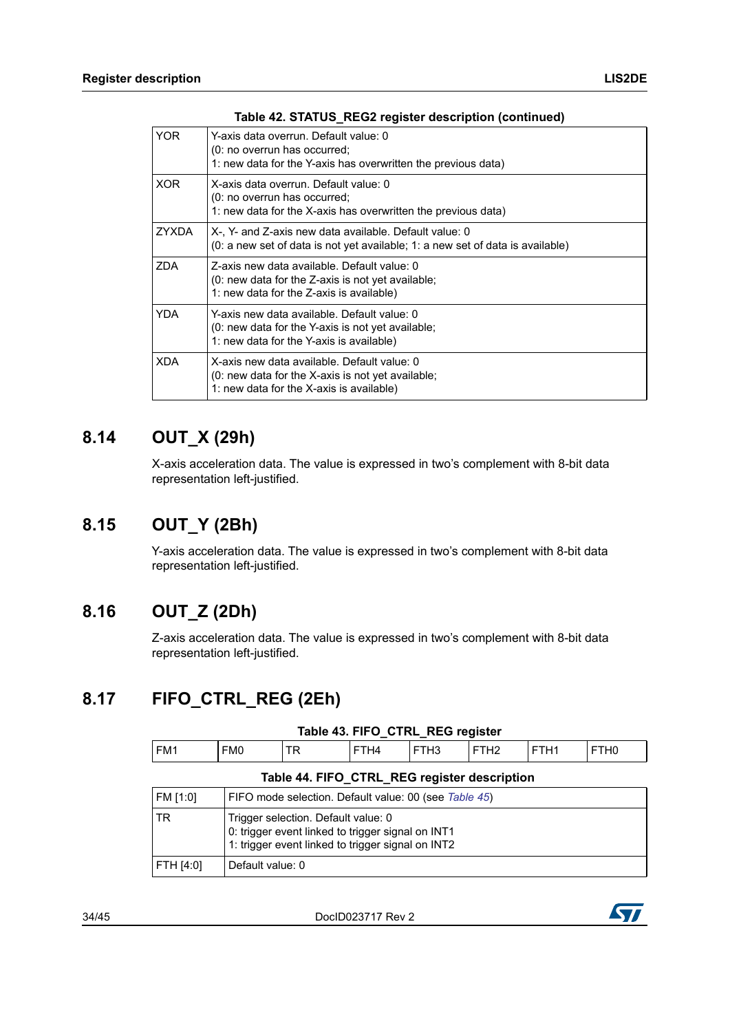| YOR.       | Y-axis data overrun. Default value: 0<br>(0: no overrun has occurred:<br>1: new data for the Y-axis has overwritten the previous data)         |
|------------|------------------------------------------------------------------------------------------------------------------------------------------------|
| <b>XOR</b> | X-axis data overrun. Default value: 0<br>(0: no overrun has occurred;<br>1: new data for the X-axis has overwritten the previous data)         |
| ZYXDA      | X-, Y- and Z-axis new data available. Default value: 0<br>$(0: a new set of data is not yet available; 1: a new set of data is available)$     |
| ZDA        | Z-axis new data available. Default value: 0<br>$(0:$ new data for the Z-axis is not yet available;<br>1: new data for the Z-axis is available) |
| <b>YDA</b> | Y-axis new data available. Default value: 0<br>(0: new data for the Y-axis is not yet available;<br>1: new data for the Y-axis is available)   |
| XDA        | X-axis new data available. Default value: 0<br>$(0:$ new data for the X-axis is not yet available;<br>1: new data for the X-axis is available) |

#### **Table 42. STATUS\_REG2 register description (continued)**

### <span id="page-33-0"></span>**8.14 OUT\_X (29h)**

X-axis acceleration data. The value is expressed in two's complement with 8-bit data representation left-justified.

### <span id="page-33-1"></span>**8.15 OUT\_Y (2Bh)**

Y-axis acceleration data. The value is expressed in two's complement with 8-bit data representation left-justified.

### <span id="page-33-2"></span>**8.16 OUT\_Z (2Dh)**

Z-axis acceleration data. The value is expressed in two's complement with 8-bit data representation left-justified.

### <span id="page-33-3"></span>**8.17 FIFO\_CTRL\_REG (2Eh)**

<span id="page-33-5"></span><span id="page-33-4"></span>

| Table 45. FIFO CTRL REG register             |                  |                                                                                                                                               |      |      |                  |                  |                  |
|----------------------------------------------|------------------|-----------------------------------------------------------------------------------------------------------------------------------------------|------|------|------------------|------------------|------------------|
| FM <sub>1</sub>                              | FM <sub>0</sub>  | <b>TR</b>                                                                                                                                     | FTH4 | FTH3 | FTH <sub>2</sub> | FTH <sub>1</sub> | FTH <sub>0</sub> |
| Table 44. FIFO_CTRL_REG register description |                  |                                                                                                                                               |      |      |                  |                  |                  |
| FM [1:0]                                     |                  | FIFO mode selection. Default value: 00 (see Table 45)                                                                                         |      |      |                  |                  |                  |
| <b>TR</b>                                    |                  | Trigger selection. Default value: 0<br>0: trigger event linked to trigger signal on INT1<br>1: trigger event linked to trigger signal on INT2 |      |      |                  |                  |                  |
| FTH [4:0]                                    | Default value: 0 |                                                                                                                                               |      |      |                  |                  |                  |

#### **Table 43. FIFO\_CTRL\_REG register**

34/45 DocID023717 Rev 2

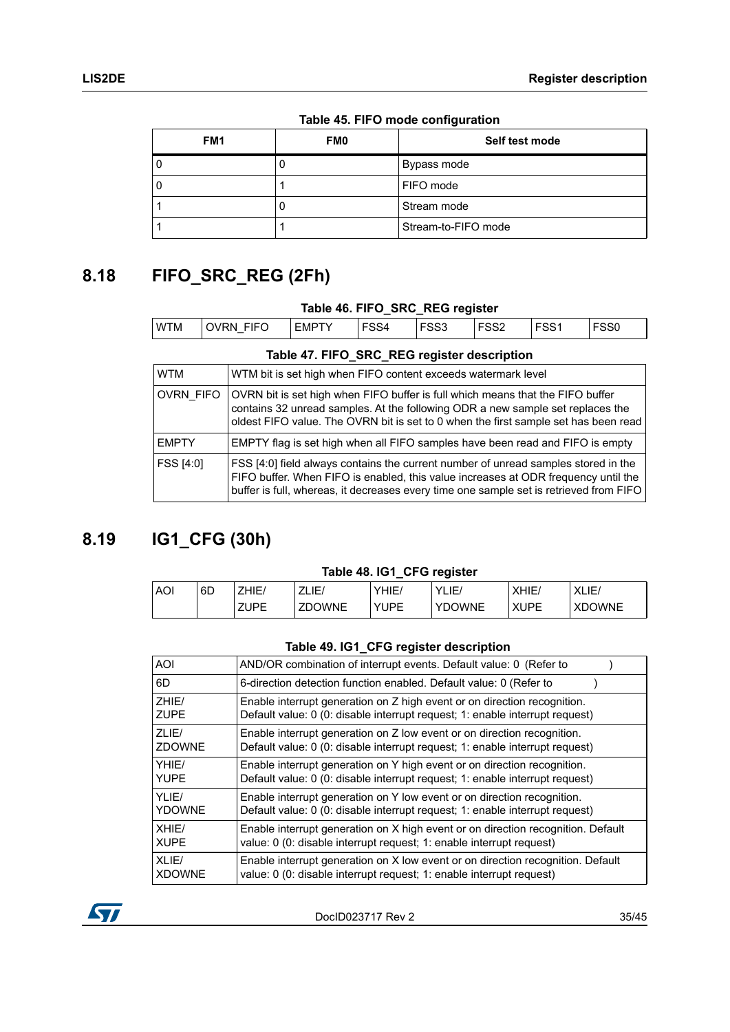<span id="page-34-2"></span>

|                 |            | $14010 + 0111$ $\sigma$ mode comigated on |
|-----------------|------------|-------------------------------------------|
| FM <sub>1</sub> | <b>FM0</b> | Self test mode                            |
|                 |            | Bypass mode                               |
| O               |            | FIFO mode                                 |
|                 |            | Stream mode                               |
|                 |            | Stream-to-FIFO mode                       |

**Table 45. FIFO mode configuration**

## <span id="page-34-0"></span>**8.18 FIFO\_SRC\_REG (2Fh)**

<span id="page-34-4"></span><span id="page-34-3"></span>

| Table 46. FIFO_SRC_REG register |                                                                                                                                                                                                                                                                    |                                                                                                                                                                                                                                                         |              |      |                  |                  |                  |                  |
|---------------------------------|--------------------------------------------------------------------------------------------------------------------------------------------------------------------------------------------------------------------------------------------------------------------|---------------------------------------------------------------------------------------------------------------------------------------------------------------------------------------------------------------------------------------------------------|--------------|------|------------------|------------------|------------------|------------------|
| <b>WTM</b>                      |                                                                                                                                                                                                                                                                    | <b>OVRN FIFO</b>                                                                                                                                                                                                                                        | <b>EMPTY</b> | FSS4 | FSS <sub>3</sub> | FSS <sub>2</sub> | FSS <sub>1</sub> | FSS <sub>0</sub> |
|                                 | Table 47. FIFO_SRC_REG register description                                                                                                                                                                                                                        |                                                                                                                                                                                                                                                         |              |      |                  |                  |                  |                  |
| <b>WTM</b>                      |                                                                                                                                                                                                                                                                    | WTM bit is set high when FIFO content exceeds watermark level                                                                                                                                                                                           |              |      |                  |                  |                  |                  |
| <b>OVRN FIFO</b>                |                                                                                                                                                                                                                                                                    | OVRN bit is set high when FIFO buffer is full which means that the FIFO buffer<br>contains 32 unread samples. At the following ODR a new sample set replaces the<br>oldest FIFO value. The OVRN bit is set to 0 when the first sample set has been read |              |      |                  |                  |                  |                  |
| <b>EMPTY</b>                    |                                                                                                                                                                                                                                                                    | EMPTY flag is set high when all FIFO samples have been read and FIFO is empty                                                                                                                                                                           |              |      |                  |                  |                  |                  |
| FSS [4:0]                       | FSS [4:0] field always contains the current number of unread samples stored in the<br>FIFO buffer. When FIFO is enabled, this value increases at ODR frequency until the<br>buffer is full, whereas, it decreases every time one sample set is retrieved from FIFO |                                                                                                                                                                                                                                                         |              |      |                  |                  |                  |                  |

## <span id="page-34-1"></span>**8.19 IG1\_CFG (30h)**

#### **Table 48. IG1\_CFG register**

<span id="page-34-5"></span>

| <b>AOI</b> | 6D | HIE,<br>$\overline{ }$ | ZLIE<br>$\overline{ }$  | YHIE/              | YLIE/      | XHIE.       | VI.<br>$\overline{1}$<br>⊩<br>◝└╹└ |
|------------|----|------------------------|-------------------------|--------------------|------------|-------------|------------------------------------|
|            |    | <b>ZUPE</b>            | OWNE<br>ZD <sub>(</sub> | YI IPF<br>ັບເ<br>- | OWNE<br>C. | <b>XUPE</b> | OWNE<br>XDC                        |

#### **Table 49. IG1\_CFG register description**

<span id="page-34-6"></span>

| <b>AOI</b>    | AND/OR combination of interrupt events. Default value: 0 (Refer to               |
|---------------|----------------------------------------------------------------------------------|
| 6D            | 6-direction detection function enabled. Default value: 0 (Refer to               |
| ZHIE/         | Enable interrupt generation on Z high event or on direction recognition.         |
| <b>ZUPE</b>   | Default value: 0 (0: disable interrupt request; 1: enable interrupt request)     |
| ZLIE/         | Enable interrupt generation on Z low event or on direction recognition.          |
| <b>ZDOWNE</b> | Default value: 0 (0: disable interrupt request; 1: enable interrupt request)     |
| YHIE/         | Enable interrupt generation on Y high event or on direction recognition.         |
| <b>YUPE</b>   | Default value: 0 (0: disable interrupt request; 1: enable interrupt request)     |
| YLIE/         | Enable interrupt generation on Y low event or on direction recognition.          |
| <b>YDOWNE</b> | Default value: 0 (0: disable interrupt request; 1: enable interrupt request)     |
| XHIE/         | Enable interrupt generation on X high event or on direction recognition. Default |
| <b>XUPE</b>   | value: 0 (0: disable interrupt request; 1: enable interrupt request)             |
| XLIE/         | Enable interrupt generation on X low event or on direction recognition. Default  |
| <b>XDOWNE</b> | value: 0 (0: disable interrupt request; 1: enable interrupt request)             |

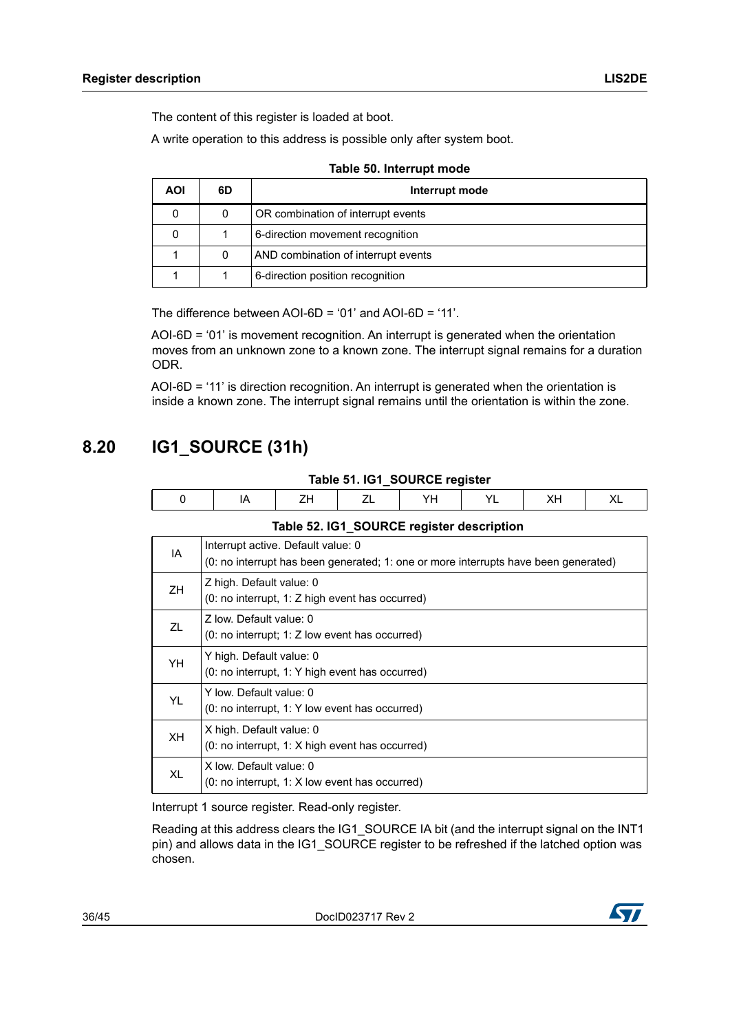The content of this register is loaded at boot.

A write operation to this address is possible only after system boot.

<span id="page-35-1"></span>

| AOI | 6D | Interrupt mode                      |
|-----|----|-------------------------------------|
|     | 0  | OR combination of interrupt events  |
|     |    | 6-direction movement recognition    |
|     | 0  | AND combination of interrupt events |
|     |    | 6-direction position recognition    |

|  | Table 50. Interrupt mode |
|--|--------------------------|
|--|--------------------------|

The difference between AOI-6D = '01' and AOI-6D = '11'.

AOI-6D = '01' is movement recognition. An interrupt is generated when the orientation moves from an unknown zone to a known zone. The interrupt signal remains for a duration ODR.

AOI-6D = '11' is direction recognition. An interrupt is generated when the orientation is inside a known zone. The interrupt signal remains until the orientation is within the zone.

## <span id="page-35-0"></span>**8.20 IG1\_SOURCE (31h)**

|  | Table 51. IG1_SOURCE register |
|--|-------------------------------|
|--|-------------------------------|

<span id="page-35-2"></span>

<span id="page-35-3"></span>

|           | Table 52. IG1_SOURCE register description                                                                                 |
|-----------|---------------------------------------------------------------------------------------------------------------------------|
| IA        | Interrupt active. Default value: 0<br>(0: no interrupt has been generated; 1: one or more interrupts have been generated) |
| ZH        | Z high. Default value: 0<br>$(0: no$ interrupt, 1: Z high event has occurred)                                             |
| ZL        | Z low. Default value: 0<br>$(0: no$ interrupt; 1: Z low event has occurred)                                               |
| YH        | Y high. Default value: 0<br>(0: no interrupt, 1: Y high event has occurred)                                               |
| YL        | Y low. Default value: 0<br>$(0: no$ interrupt, 1: Y low event has occurred)                                               |
| <b>XH</b> | X high. Default value: 0<br>$(0: no$ interrupt, 1: X high event has occurred)                                             |
| XL        | X low. Default value: 0<br>(0: no interrupt, 1: X low event has occurred)                                                 |

Interrupt 1 source register. Read-only register.

Reading at this address clears the IG1\_SOURCE IA bit (and the interrupt signal on the INT1 pin) and allows data in the IG1\_SOURCE register to be refreshed if the latched option was chosen.

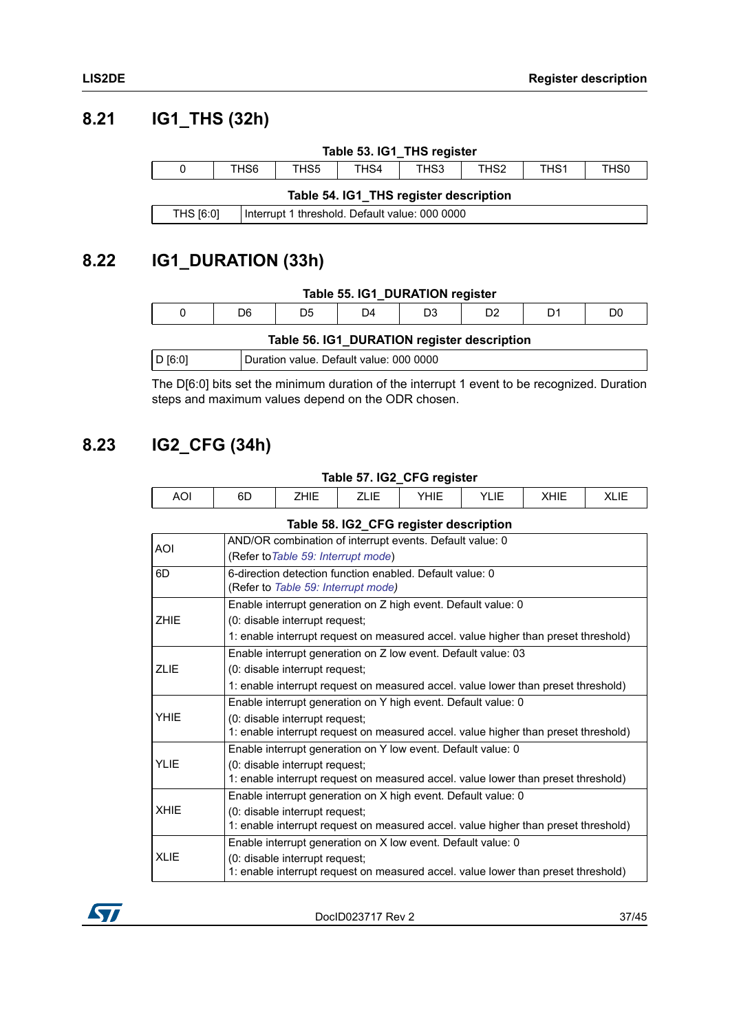## <span id="page-36-0"></span>**8.21 IG1\_THS (32h)**

<span id="page-36-4"></span><span id="page-36-3"></span>

|                                                             | Table 53. IG1_THS register                                                   |  |  |  |  |  |
|-------------------------------------------------------------|------------------------------------------------------------------------------|--|--|--|--|--|
| 0                                                           | TH <sub>S1</sub><br>THS0<br>THS6<br>THS4<br>THS3<br>THS <sub>2</sub><br>THS5 |  |  |  |  |  |
| Table 54. IG1_THS register description                      |                                                                              |  |  |  |  |  |
| THS [6:0]<br>Interrupt 1 threshold. Default value: 000 0000 |                                                                              |  |  |  |  |  |

## <span id="page-36-1"></span>**8.22 IG1\_DURATION (33h)**

#### **Table 55. IG1\_DURATION register**

<span id="page-36-5"></span>

|  | Table 56. IG1_DURATION register description |
|--|---------------------------------------------|
|--|---------------------------------------------|

<span id="page-36-6"></span>

|  | D [6:0] | Duration value. Default value: 000 0000 |
|--|---------|-----------------------------------------|
|--|---------|-----------------------------------------|

The D[6:0] bits set the minimum duration of the interrupt 1 event to be recognized. Duration steps and maximum values depend on the ODR chosen.

## <span id="page-36-2"></span>**8.23 IG2\_CFG (34h)**

<span id="page-36-7"></span>

| Table 57. IG2_CFG register |    |              |      |      |           |      |  |
|----------------------------|----|--------------|------|------|-----------|------|--|
| AOI                        | 6D | <b>7</b> 41E | ᅩᄂᆝᄂ | YHIE | LIE<br>vı | XHIE |  |

<span id="page-36-8"></span>

| <b>AOI</b>  | AND/OR combination of interrupt events. Default value: 0<br>(Refer to Table 59: Interrupt mode)                      |
|-------------|----------------------------------------------------------------------------------------------------------------------|
| 6D          | 6-direction detection function enabled. Default value: 0<br>(Refer to Table 59: Interrupt mode)                      |
|             | Enable interrupt generation on Z high event. Default value: 0                                                        |
| <b>ZHIE</b> | (0: disable interrupt request;                                                                                       |
|             | 1: enable interrupt request on measured accel. value higher than preset threshold)                                   |
|             | Enable interrupt generation on Z low event. Default value: 03                                                        |
| <b>ZLIE</b> | (0: disable interrupt request;                                                                                       |
|             | 1: enable interrupt request on measured accel. value lower than preset threshold)                                    |
|             | Enable interrupt generation on Y high event. Default value: 0                                                        |
| <b>YHIE</b> | (0: disable interrupt request;<br>1: enable interrupt request on measured accel. value higher than preset threshold) |
|             | Enable interrupt generation on Y low event. Default value: 0                                                         |
| <b>YLIE</b> | (0: disable interrupt request;<br>1: enable interrupt request on measured accel. value lower than preset threshold)  |
|             | Enable interrupt generation on X high event. Default value: 0                                                        |
| <b>XHIE</b> | (0: disable interrupt request;<br>1: enable interrupt request on measured accel. value higher than preset threshold) |
|             | Enable interrupt generation on X low event. Default value: 0                                                         |
| <b>XLIE</b> | (0: disable interrupt request;<br>1: enable interrupt request on measured accel. value lower than preset threshold)  |

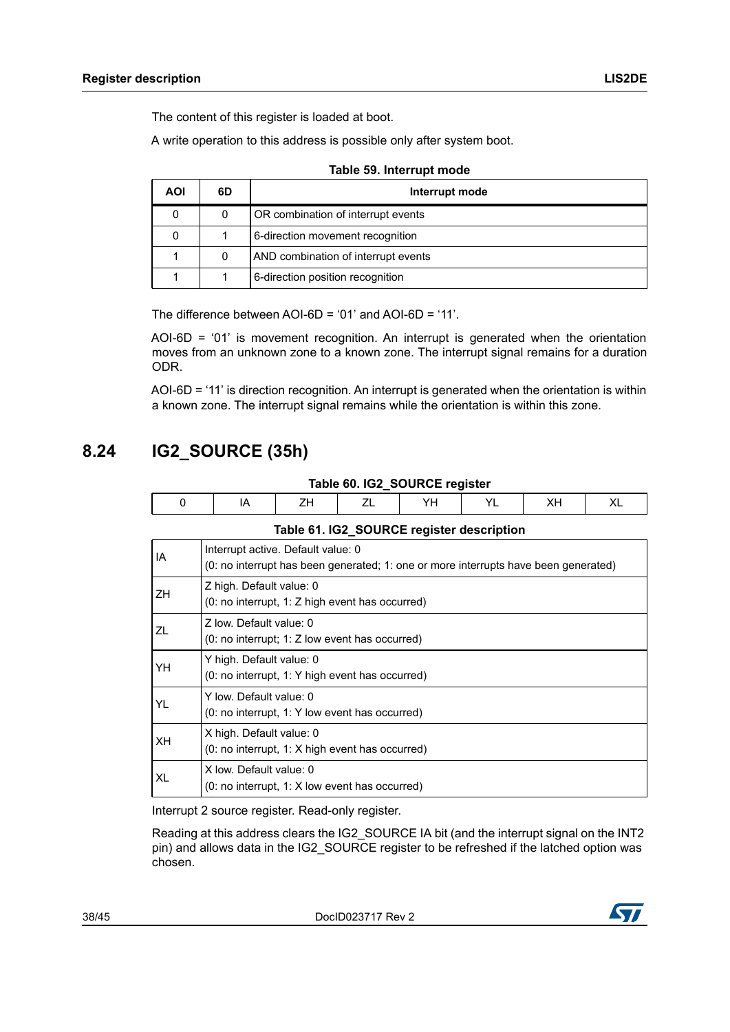The content of this register is loaded at boot.

A write operation to this address is possible only after system boot.

<span id="page-37-1"></span>

| <b>AOI</b> | 6D | Interrupt mode                      |
|------------|----|-------------------------------------|
|            |    | OR combination of interrupt events  |
|            |    | 6-direction movement recognition    |
|            | 0  | AND combination of interrupt events |
|            |    | 6-direction position recognition    |

**Table 59. Interrupt mode**

The difference between AOI-6D = '01' and AOI-6D = '11'.

AOI-6D = '01' is movement recognition. An interrupt is generated when the orientation moves from an unknown zone to a known zone. The interrupt signal remains for a duration ODR.

AOI-6D = '11' is direction recognition. An interrupt is generated when the orientation is within a known zone. The interrupt signal remains while the orientation is within this zone.

## <span id="page-37-0"></span>**8.24 IG2\_SOURCE (35h)**

<span id="page-37-3"></span><span id="page-37-2"></span>

| 0                                         | IA                                                                                                                        | ZΗ | ΖL | YΗ | YL | XН | XL |  |  |
|-------------------------------------------|---------------------------------------------------------------------------------------------------------------------------|----|----|----|----|----|----|--|--|
| Table 61. IG2_SOURCE register description |                                                                                                                           |    |    |    |    |    |    |  |  |
| IA                                        | Interrupt active. Default value: 0<br>(0: no interrupt has been generated; 1: one or more interrupts have been generated) |    |    |    |    |    |    |  |  |
| ZΗ                                        | Z high. Default value: 0<br>(0: no interrupt, 1: Z high event has occurred)                                               |    |    |    |    |    |    |  |  |
| ΖL                                        | Z low. Default value: 0<br>$(0: no$ interrupt; 1: Z low event has occurred)                                               |    |    |    |    |    |    |  |  |
| YΗ                                        | Y high. Default value: 0<br>(0: no interrupt, 1: Y high event has occurred)                                               |    |    |    |    |    |    |  |  |
| YL                                        | Y low. Default value: 0<br>(0: no interrupt, 1: Y low event has occurred)                                                 |    |    |    |    |    |    |  |  |
| XН                                        | X high. Default value: 0<br>$(0: no$ interrupt, 1: X high event has occurred)                                             |    |    |    |    |    |    |  |  |
| XL                                        | X low. Default value: 0<br>$(0: no$ interrupt, 1: X low event has occurred)                                               |    |    |    |    |    |    |  |  |

**Table 60. IG2\_SOURCE register**

Interrupt 2 source register. Read-only register.

Reading at this address clears the IG2\_SOURCE IA bit (and the interrupt signal on the INT2 pin) and allows data in the IG2\_SOURCE register to be refreshed if the latched option was chosen.

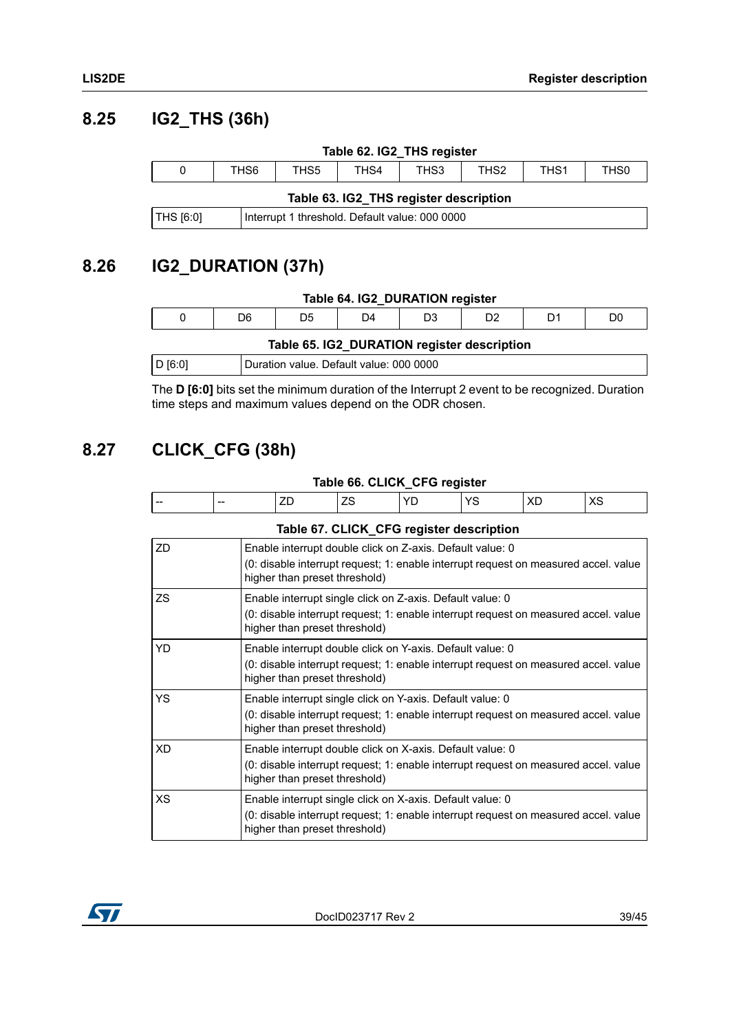### <span id="page-38-0"></span>**8.25 IG2\_THS (36h)**

<span id="page-38-4"></span><span id="page-38-3"></span>

| Table 62. IG2_THS register                                     |                  |                  |                  |      |                  |                  |                  |  |
|----------------------------------------------------------------|------------------|------------------|------------------|------|------------------|------------------|------------------|--|
| 0                                                              | THS <sub>6</sub> | THS <sub>5</sub> | TH <sub>S4</sub> | THS3 | TH <sub>S2</sub> | TH <sub>S1</sub> | TH <sub>S0</sub> |  |
| Table 63. IG2_THS register description                         |                  |                  |                  |      |                  |                  |                  |  |
| $ THS$ [6:0]<br>Interrupt 1 threshold. Default value: 000 0000 |                  |                  |                  |      |                  |                  |                  |  |

## <span id="page-38-1"></span>**8.26 IG2\_DURATION (37h)**

<span id="page-38-6"></span><span id="page-38-5"></span>

| Table 64. IG2 DURATION register                    |    |                |                |    |                |                |    |  |
|----------------------------------------------------|----|----------------|----------------|----|----------------|----------------|----|--|
| 0                                                  | D6 | D <sub>5</sub> | D <sub>4</sub> | D3 | D <sub>2</sub> | D <sub>1</sub> | D0 |  |
| Table 65. IG2 DURATION register description        |    |                |                |    |                |                |    |  |
| D [6:0]<br>Duration value. Default value: 000 0000 |    |                |                |    |                |                |    |  |

The **D [6:0]** bits set the minimum duration of the Interrupt 2 event to be recognized. Duration time steps and maximum values depend on the ODR chosen.

## <span id="page-38-2"></span>**8.27 CLICK\_CFG (38h)**

#### **Table 66. CLICK\_CFG register**

<span id="page-38-7"></span>

| -- | $- -$ | 그는 아이들이 아이들이 아이들이 없었다. |  | __ |
|----|-------|------------------------|--|----|
|    |       |                        |  |    |

#### **Table 67. CLICK\_CFG register description**

<span id="page-38-8"></span>

| ZD  | Enable interrupt double click on Z-axis. Default value: 0<br>(0: disable interrupt request; 1: enable interrupt request on measured accel. value<br>higher than preset threshold) |
|-----|-----------------------------------------------------------------------------------------------------------------------------------------------------------------------------------|
| ZS  | Enable interrupt single click on Z-axis. Default value: 0<br>(0: disable interrupt request; 1: enable interrupt request on measured accel. value<br>higher than preset threshold) |
| YD. | Enable interrupt double click on Y-axis. Default value: 0<br>(0: disable interrupt request; 1: enable interrupt request on measured accel. value<br>higher than preset threshold) |
| YS  | Enable interrupt single click on Y-axis. Default value: 0<br>(0: disable interrupt request; 1: enable interrupt request on measured accel. value<br>higher than preset threshold) |
| XD. | Enable interrupt double click on X-axis. Default value: 0<br>(0: disable interrupt request; 1: enable interrupt request on measured accel. value<br>higher than preset threshold) |
| XS. | Enable interrupt single click on X-axis. Default value: 0<br>(0: disable interrupt request; 1: enable interrupt request on measured accel. value<br>higher than preset threshold) |

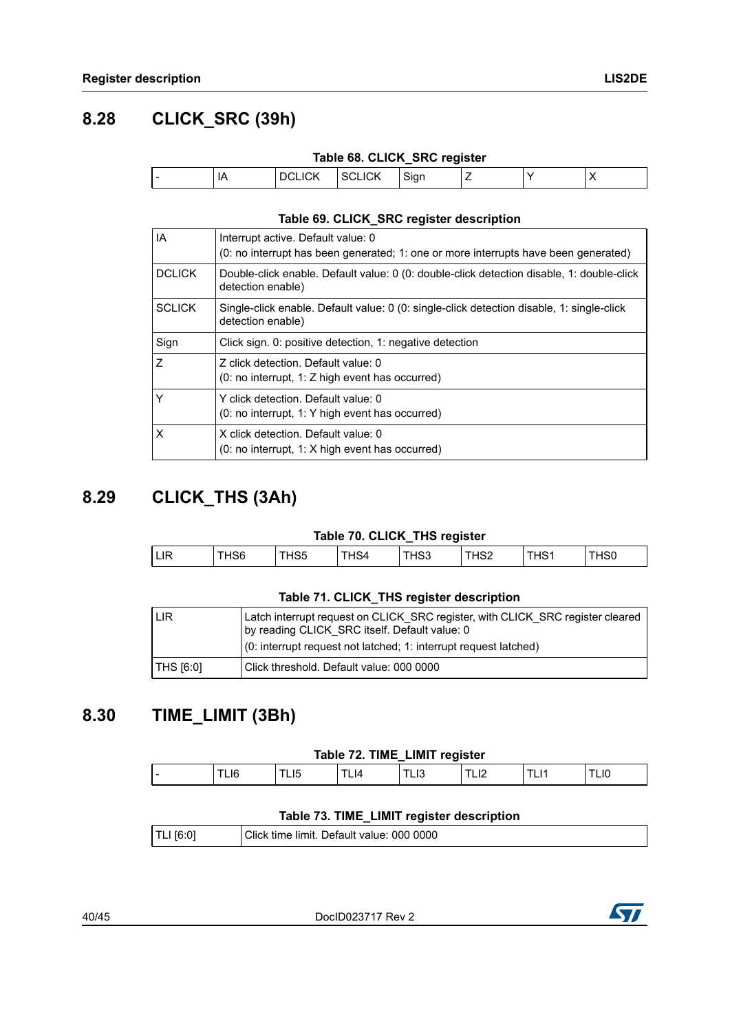## <span id="page-39-0"></span>**8.28 CLICK\_SRC (39h)**

|  |  | Table 68. CLICK_SRC register |
|--|--|------------------------------|
|  |  |                              |

<span id="page-39-3"></span>

| $\overline{\phantom{a}}$ | IΑ | M |  |  | $\cdot$ |
|--------------------------|----|---|--|--|---------|
|                          |    |   |  |  |         |

#### **Table 69. CLICK\_SRC register description**

<span id="page-39-4"></span>

| l IA          | Interrupt active. Default value: 0<br>(0: no interrupt has been generated; 1: one or more interrupts have been generated) |
|---------------|---------------------------------------------------------------------------------------------------------------------------|
| <b>DCLICK</b> | Double-click enable. Default value: 0 (0: double-click detection disable, 1: double-click<br>detection enable)            |
| <b>SCLICK</b> | Single-click enable. Default value: 0 (0: single-click detection disable, 1: single-click<br>detection enable)            |
| Sign          | Click sign. 0: positive detection, 1: negative detection                                                                  |
| l Z           | Z click detection. Default value: 0<br>(0: no interrupt, 1: Z high event has occurred)                                    |
| İΥ            | Y click detection. Default value: 0<br>(0: no interrupt, 1: Y high event has occurred)                                    |
| Ιx            | X click detection. Default value: 0<br>$(0: no$ interrupt, 1: X high event has occurred)                                  |

## <span id="page-39-1"></span>**8.29 CLICK\_THS (3Ah)**

#### **Table 70. CLICK\_THS register**

<span id="page-39-5"></span>

| LIR |  | . HS5 | -HS4 | `HS3 | THS2 | THS1 | `HS0 |
|-----|--|-------|------|------|------|------|------|
|     |  |       |      |      |      |      |      |

#### **Table 71. CLICK\_THS register description**

<span id="page-39-6"></span>

| LIR       | Latch interrupt request on CLICK SRC register, with CLICK SRC register cleared<br>by reading CLICK SRC itself. Default value: 0<br>(0: interrupt request not latched; 1: interrupt request latched) |
|-----------|-----------------------------------------------------------------------------------------------------------------------------------------------------------------------------------------------------|
| THS [6:0] | Click threshold. Default value: 000 0000                                                                                                                                                            |

## <span id="page-39-2"></span>**8.30 TIME\_LIMIT (3Bh)**

#### **Table 72. TIME\_LIMIT register**

<span id="page-39-7"></span>

| . .<br><br>6ا∟<br>.,<br>14<br>--<br>--<br>--<br>--<br>___<br>__ |
|-----------------------------------------------------------------|
|-----------------------------------------------------------------|

#### **Table 73. TIME\_LIMIT register description**

<span id="page-39-8"></span>

|--|

40/45 DocID023717 Rev 2

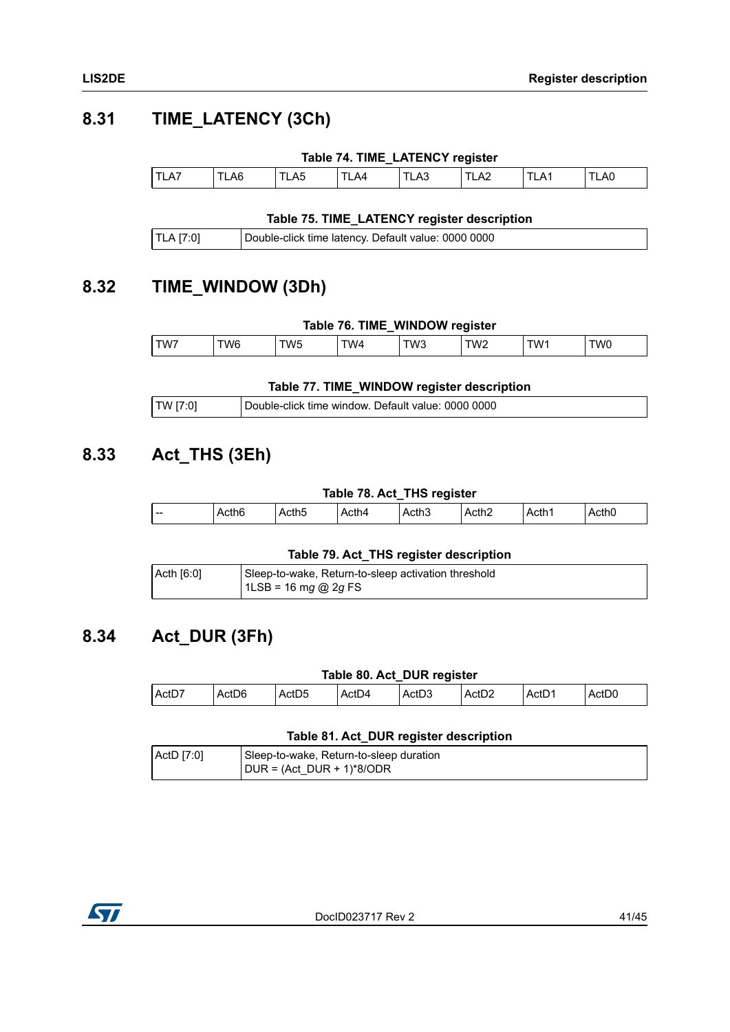## <span id="page-40-0"></span>**8.31 TIME\_LATENCY (3Ch)**

<span id="page-40-4"></span>

|      |     |      |     | Table 74. TIME_LATENCY register |      |     |     |
|------|-----|------|-----|---------------------------------|------|-----|-----|
| TLA7 | LA6 | TLA5 | LA4 | TLA3                            | TLA2 | LA1 | LA0 |

#### **Table 75. TIME\_LATENCY register description**

<span id="page-40-5"></span>

| TLA [7:0] | Double-click time latency. Default value: 0000 0000 |
|-----------|-----------------------------------------------------|
|-----------|-----------------------------------------------------|

### <span id="page-40-1"></span>**8.32 TIME\_WINDOW (3Dh)**

<span id="page-40-6"></span>

| Table 76. TIME_WINDOW register |      |     |     |     |     |     |     |
|--------------------------------|------|-----|-----|-----|-----|-----|-----|
| TW7                            | TW6. | TW5 | TW4 | TW3 | TW2 | TW1 | TW0 |

#### **Table 77. TIME\_WINDOW register description**

<span id="page-40-7"></span>

| TW [7:0] | Double-click time window. Default value: 0000 0000 |
|----------|----------------------------------------------------|
|----------|----------------------------------------------------|

### <span id="page-40-2"></span>**8.33 Act\_THS (3Eh)**

### **Table 78. Act\_THS register**

<span id="page-40-8"></span>

|     |                        |       |       | -                             |              |                   |       |
|-----|------------------------|-------|-------|-------------------------------|--------------|-------------------|-------|
| $-$ | rthf<br>. .<br>טו ווטר | .cth5 | Acth4 | . $\sim$ then<br>. .<br>ACUID | <b>\cth2</b> | Acth <sub>1</sub> | Acth0 |
|     |                        |       |       |                               |              |                   |       |

#### **Table 79. Act\_THS register description**

<span id="page-40-9"></span>

| $ $ Acth $[6:0]$ | Sleep-to-wake, Return-to-sleep activation threshold |
|------------------|-----------------------------------------------------|
|                  | $1LSB = 16 mg @ 2g FS$                              |

### <span id="page-40-3"></span>**8.34 Act\_DUR (3Fh)**

#### **Table 80. Act\_DUR register**

<span id="page-40-10"></span>

| Act <sub>D2</sub><br>Act <sub>D4</sub><br>ActD<br>ActD7<br>$\sim$<br>Act <sub>D0</sub><br>ActD <sub>6</sub><br><b>IN</b><br>ActD <sub>5</sub><br><sup>⊥</sup> ActDം |  |
|---------------------------------------------------------------------------------------------------------------------------------------------------------------------|--|

#### **Table 81. Act\_DUR register description**

<span id="page-40-11"></span>

| ActD [7:0] | Sleep-to-wake, Return-to-sleep duration |  |
|------------|-----------------------------------------|--|
|            | $ DUR = (Act DUR + 1)*8/ODR$            |  |

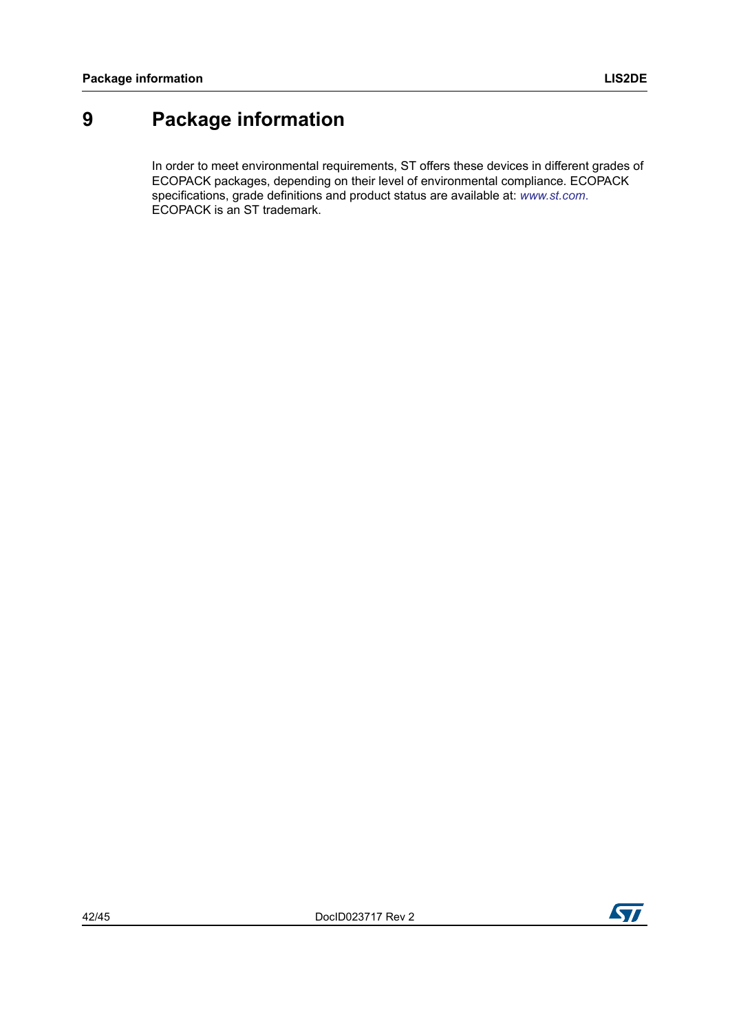# <span id="page-41-0"></span>**9 Package information**

In order to meet environmental requirements, ST offers these devices in different grades of ECOPACK packages, depending on their level of environmental compliance. ECOPACK specifications, grade definitions and product status are available at: *www.st.com*. ECOPACK is an ST trademark.

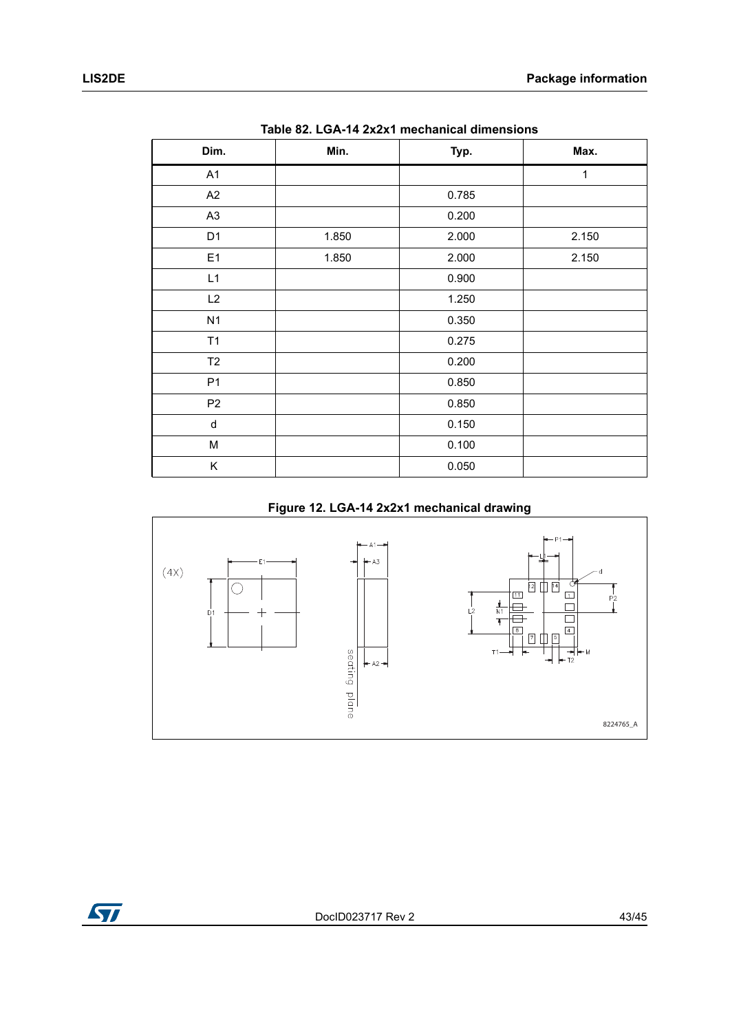<span id="page-42-0"></span>

| <b>10010 02. LOATH EXEAT MOUNTAING MINUTSIONS</b> |       |       |       |  |  |
|---------------------------------------------------|-------|-------|-------|--|--|
| Dim.                                              | Min.  | Typ.  | Max.  |  |  |
| A <sub>1</sub>                                    |       |       | 1     |  |  |
| A2                                                |       | 0.785 |       |  |  |
| A <sub>3</sub>                                    |       | 0.200 |       |  |  |
| D <sub>1</sub>                                    | 1.850 | 2.000 | 2.150 |  |  |
| E1                                                | 1.850 | 2.000 | 2.150 |  |  |
| L1                                                |       | 0.900 |       |  |  |
| L2                                                |       | 1.250 |       |  |  |
| N1                                                |       | 0.350 |       |  |  |
| T1                                                |       | 0.275 |       |  |  |
| T2                                                |       | 0.200 |       |  |  |
| P <sub>1</sub>                                    |       | 0.850 |       |  |  |
| P <sub>2</sub>                                    |       | 0.850 |       |  |  |
| ${\sf d}$                                         |       | 0.150 |       |  |  |
| М                                                 |       | 0.100 |       |  |  |
| Κ                                                 |       | 0.050 |       |  |  |

**Table 82. LGA-14 2x2x1 mechanical dimensions**

### **Figure 12. LGA-14 2x2x1 mechanical drawing**

<span id="page-42-1"></span>

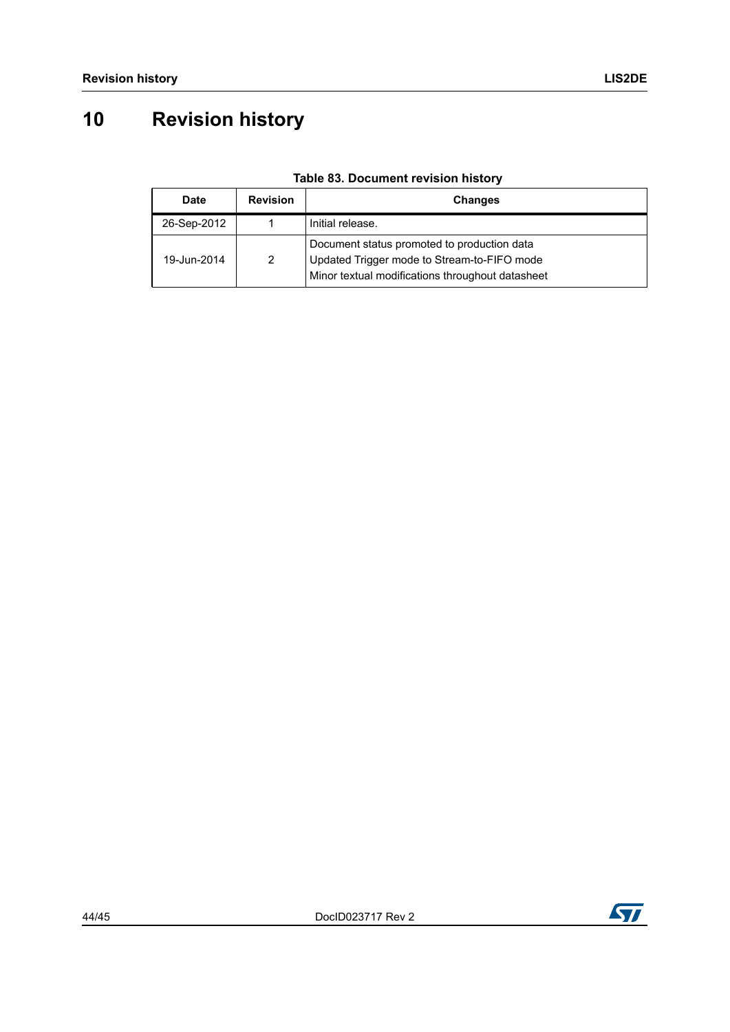# <span id="page-43-0"></span>**10 Revision history**

<span id="page-43-1"></span>

| Date        | <b>Revision</b> | <b>Changes</b>                                                                                                                                 |
|-------------|-----------------|------------------------------------------------------------------------------------------------------------------------------------------------|
| 26-Sep-2012 |                 | Initial release.                                                                                                                               |
| 19-Jun-2014 | 2               | Document status promoted to production data<br>Updated Trigger mode to Stream-to-FIFO mode<br>Minor textual modifications throughout datasheet |

### **Table 83. Document revision history**